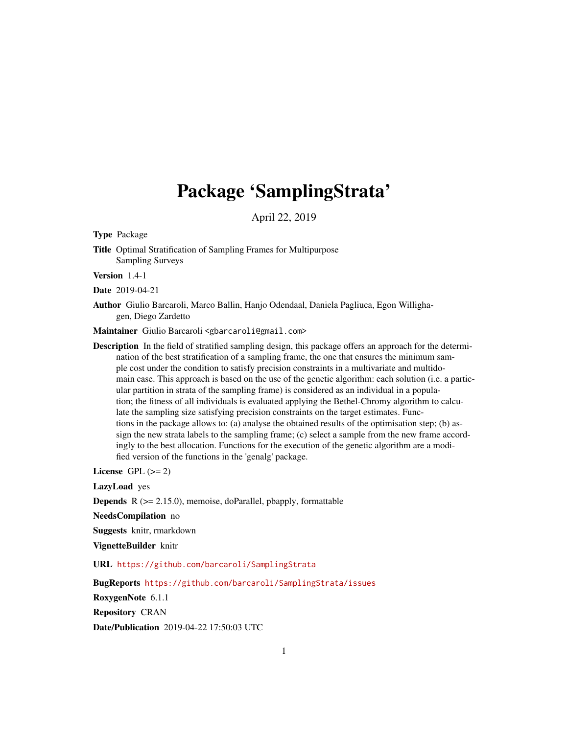## Package 'SamplingStrata'

April 22, 2019

Type Package

Title Optimal Stratification of Sampling Frames for Multipurpose Sampling Surveys

Version 1.4-1

Date 2019-04-21

Author Giulio Barcaroli, Marco Ballin, Hanjo Odendaal, Daniela Pagliuca, Egon Willighagen, Diego Zardetto

Maintainer Giulio Barcaroli <gbarcaroli@gmail.com>

Description In the field of stratified sampling design, this package offers an approach for the determination of the best stratification of a sampling frame, the one that ensures the minimum sample cost under the condition to satisfy precision constraints in a multivariate and multidomain case. This approach is based on the use of the genetic algorithm: each solution (i.e. a particular partition in strata of the sampling frame) is considered as an individual in a population; the fitness of all individuals is evaluated applying the Bethel-Chromy algorithm to calculate the sampling size satisfying precision constraints on the target estimates. Functions in the package allows to: (a) analyse the obtained results of the optimisation step; (b) assign the new strata labels to the sampling frame; (c) select a sample from the new frame accordingly to the best allocation. Functions for the execution of the genetic algorithm are a modified version of the functions in the 'genalg' package.

License GPL  $(>= 2)$ 

LazyLoad yes

**Depends**  $R$  ( $>= 2.15.0$ ), memoise, doParallel, pbapply, formattable

NeedsCompilation no

Suggests knitr, rmarkdown

VignetteBuilder knitr

URL <https://github.com/barcaroli/SamplingStrata>

BugReports <https://github.com/barcaroli/SamplingStrata/issues>

RoxygenNote 6.1.1

Repository CRAN

Date/Publication 2019-04-22 17:50:03 UTC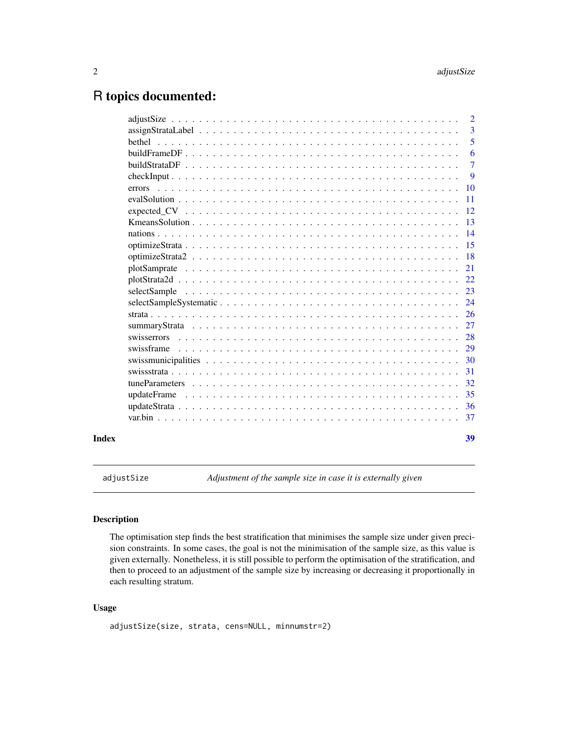### <span id="page-1-0"></span>R topics documented:

|       |                                                                                                                      | $\overline{2}$ |
|-------|----------------------------------------------------------------------------------------------------------------------|----------------|
|       |                                                                                                                      | 3              |
|       | hethel                                                                                                               | 5              |
|       |                                                                                                                      | 6              |
|       |                                                                                                                      | $\tau$         |
|       |                                                                                                                      | 9              |
|       | <u>. A de la caractería de la caractería de la caractería de la caractería de la caractería de la cara</u><br>errors | 10             |
|       |                                                                                                                      | 11             |
|       |                                                                                                                      | 12             |
|       |                                                                                                                      | 13             |
|       |                                                                                                                      | 14             |
|       |                                                                                                                      | 15             |
|       |                                                                                                                      | 18             |
|       |                                                                                                                      | 21             |
|       |                                                                                                                      | 22.            |
|       |                                                                                                                      | 23             |
|       |                                                                                                                      | 24             |
|       |                                                                                                                      | 26             |
|       |                                                                                                                      | 27             |
|       |                                                                                                                      | 28             |
|       | swissframe                                                                                                           | 29             |
|       |                                                                                                                      | 30             |
|       |                                                                                                                      | 31             |
|       |                                                                                                                      | 32             |
|       |                                                                                                                      | 35             |
|       |                                                                                                                      | 36             |
|       |                                                                                                                      | 37             |
|       |                                                                                                                      |                |
| Index |                                                                                                                      | 39             |

adjustSize *Adjustment of the sample size in case it is externally given*

#### Description

The optimisation step finds the best stratification that minimises the sample size under given precision constraints. In some cases, the goal is not the minimisation of the sample size, as this value is given externally. Nonetheless, it is still possible to perform the optimisation of the stratification, and then to proceed to an adjustment of the sample size by increasing or decreasing it proportionally in each resulting stratum.

#### Usage

```
adjustSize(size, strata, cens=NULL, minnumstr=2)
```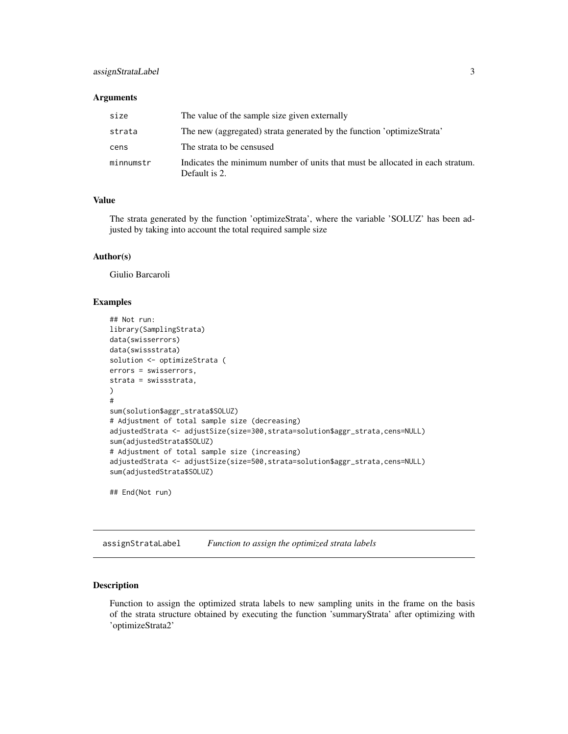#### <span id="page-2-0"></span>assignStrataLabel 3

#### **Arguments**

| size      | The value of the sample size given externally                                                  |
|-----------|------------------------------------------------------------------------------------------------|
| strata    | The new (aggregated) strata generated by the function 'optimizeStrata'                         |
| cens      | The strata to be censused                                                                      |
| minnumstr | Indicates the minimum number of units that must be allocated in each stratum.<br>Default is 2. |

#### Value

The strata generated by the function 'optimizeStrata', where the variable 'SOLUZ' has been adjusted by taking into account the total required sample size

#### Author(s)

Giulio Barcaroli

#### Examples

```
## Not run:
library(SamplingStrata)
data(swisserrors)
data(swissstrata)
solution <- optimizeStrata (
errors = swisserrors,
strata = swissstrata,
)
#
sum(solution$aggr_strata$SOLUZ)
# Adjustment of total sample size (decreasing)
adjustedStrata <- adjustSize(size=300,strata=solution$aggr_strata,cens=NULL)
sum(adjustedStrata$SOLUZ)
# Adjustment of total sample size (increasing)
adjustedStrata <- adjustSize(size=500,strata=solution$aggr_strata,cens=NULL)
sum(adjustedStrata$SOLUZ)
```
## End(Not run)

assignStrataLabel *Function to assign the optimized strata labels*

#### Description

Function to assign the optimized strata labels to new sampling units in the frame on the basis of the strata structure obtained by executing the function 'summaryStrata' after optimizing with 'optimizeStrata2'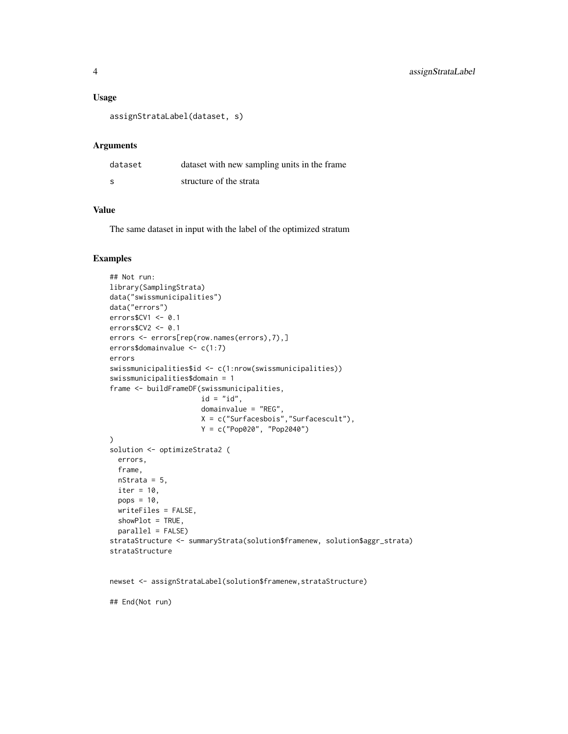#### Usage

```
assignStrataLabel(dataset, s)
```
#### Arguments

| dataset | dataset with new sampling units in the frame |
|---------|----------------------------------------------|
| - S     | structure of the strata                      |

#### Value

The same dataset in input with the label of the optimized stratum

#### Examples

```
## Not run:
library(SamplingStrata)
data("swissmunicipalities")
data("errors")
errors$CV1 <- 0.1
errors$CV2 <- 0.1
errors <- errors[rep(row.names(errors),7),]
errors$domainvalue <- c(1:7)
errors
swissmunicipalities$id <- c(1:nrow(swissmunicipalities))
swissmunicipalities$domain = 1
frame <- buildFrameDF(swissmunicipalities,
                      id = "id",domainvalue = "REG",
                      X = c("Surfacesbois","Surfacescult"),
                      Y = c("Pop020", "Pop2040")
\mathcal{L}solution <- optimizeStrata2 (
  errors,
  frame,
 nStrata = 5,
  iter = 10,
  pops = 10,
  writeFiles = FALSE,
  showPlot = TRUE,
  parallel = FALSE)
strataStructure <- summaryStrata(solution$framenew, solution$aggr_strata)
strataStructure
```

```
newset <- assignStrataLabel(solution$framenew,strataStructure)
```
## End(Not run)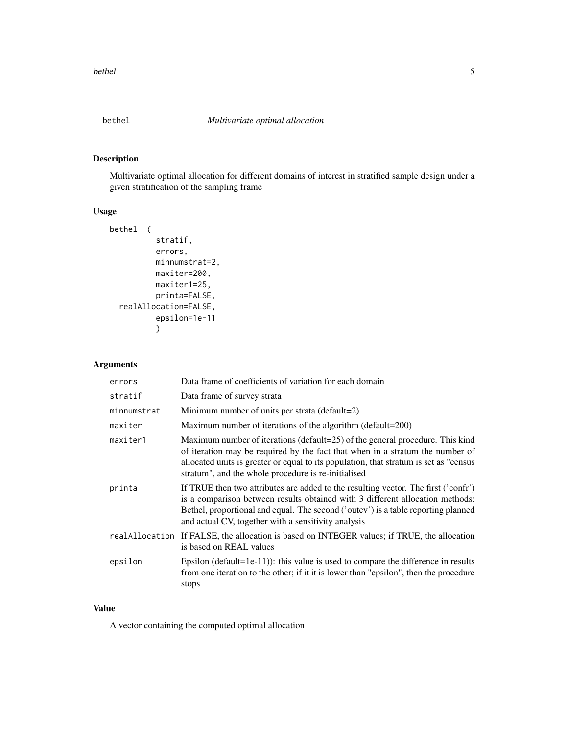<span id="page-4-0"></span>

#### Description

Multivariate optimal allocation for different domains of interest in stratified sample design under a given stratification of the sampling frame

#### Usage

```
bethel (
          stratif,
          errors,
          minnumstrat=2,
          maxiter=200,
          maxiter1=25,
          printa=FALSE,
  realAllocation=FALSE,
          epsilon=1e-11
          )
```
#### Arguments

| errors      | Data frame of coefficients of variation for each domain                                                                                                                                                                                                                                                         |
|-------------|-----------------------------------------------------------------------------------------------------------------------------------------------------------------------------------------------------------------------------------------------------------------------------------------------------------------|
| stratif     | Data frame of survey strata                                                                                                                                                                                                                                                                                     |
| minnumstrat | Minimum number of units per strata (default=2)                                                                                                                                                                                                                                                                  |
| maxiter     | Maximum number of iterations of the algorithm (default=200)                                                                                                                                                                                                                                                     |
| maxiter1    | Maximum number of iterations (default=25) of the general procedure. This kind<br>of iteration may be required by the fact that when in a stratum the number of<br>allocated units is greater or equal to its population, that stratum is set as "census<br>stratum", and the whole procedure is re-initialised  |
| printa      | If TRUE then two attributes are added to the resulting vector. The first ('confr')<br>is a comparison between results obtained with 3 different allocation methods:<br>Bethel, proportional and equal. The second ('outcy') is a table reporting planned<br>and actual CV, together with a sensitivity analysis |
|             | real Allocation If FALSE, the allocation is based on INTEGER values; if TRUE, the allocation<br>is based on REAL values                                                                                                                                                                                         |
| epsilon     | Epsilon (default=1e-11)): this value is used to compare the difference in results<br>from one iteration to the other; if it it is lower than "epsilon", then the procedure<br>stops                                                                                                                             |

#### Value

A vector containing the computed optimal allocation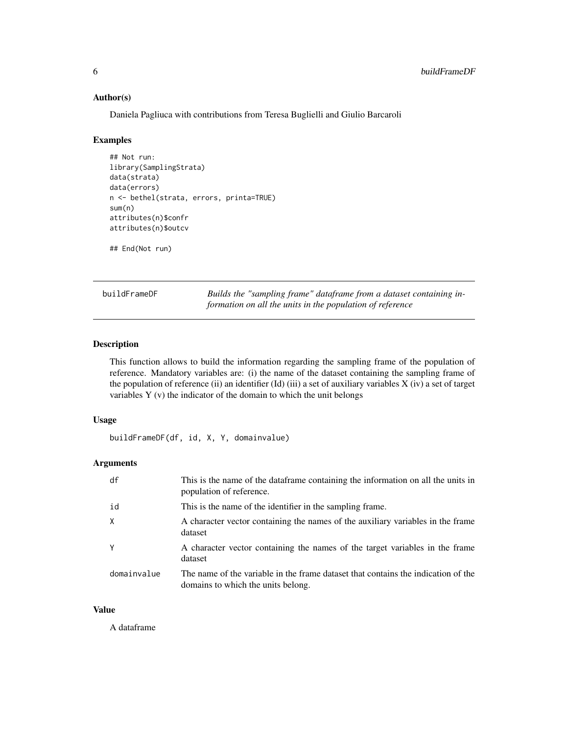#### <span id="page-5-0"></span>Author(s)

Daniela Pagliuca with contributions from Teresa Buglielli and Giulio Barcaroli

#### Examples

```
## Not run:
library(SamplingStrata)
data(strata)
data(errors)
n <- bethel(strata, errors, printa=TRUE)
sum(n)
attributes(n)$confr
attributes(n)$outcv
```
## End(Not run)

buildFrameDF *Builds the "sampling frame" dataframe from a dataset containing information on all the units in the population of reference*

#### Description

This function allows to build the information regarding the sampling frame of the population of reference. Mandatory variables are: (i) the name of the dataset containing the sampling frame of the population of reference (ii) an identifier (Id) (iii) a set of auxiliary variables X (iv) a set of target variables Y (v) the indicator of the domain to which the unit belongs

#### Usage

buildFrameDF(df, id, X, Y, domainvalue)

#### **Arguments**

| df           | This is the name of the data frame containing the information on all the units in<br>population of reference.           |
|--------------|-------------------------------------------------------------------------------------------------------------------------|
| id           | This is the name of the identifier in the sampling frame.                                                               |
| $\mathsf{X}$ | A character vector containing the names of the auxiliary variables in the frame<br>dataset                              |
| Y            | A character vector containing the names of the target variables in the frame<br>dataset                                 |
| domainvalue  | The name of the variable in the frame dataset that contains the indication of the<br>domains to which the units belong. |

#### Value

A dataframe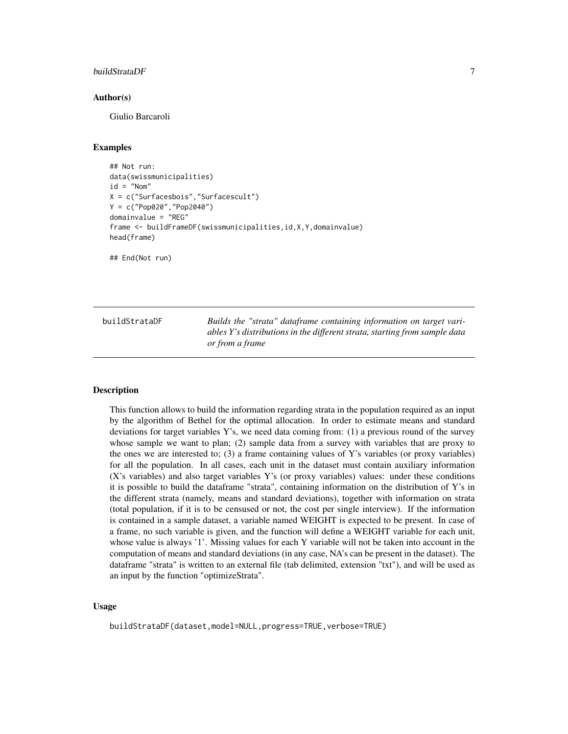#### <span id="page-6-0"></span>buildStrataDF 7

#### Author(s)

Giulio Barcaroli

#### Examples

```
## Not run:
data(swissmunicipalities)
id = "Nom"X = c("Surfacesbois","Surfacescult")
Y = c("Pop020","Pop2040")
domainvalue = "REG"
frame <- buildFrameDF(swissmunicipalities,id,X,Y,domainvalue)
head(frame)
```
## End(Not run)

buildStrataDF *Builds the "strata" dataframe containing information on target variables Y's distributions in the different strata, starting from sample data or from a frame*

#### Description

This function allows to build the information regarding strata in the population required as an input by the algorithm of Bethel for the optimal allocation. In order to estimate means and standard deviations for target variables Y's, we need data coming from: (1) a previous round of the survey whose sample we want to plan; (2) sample data from a survey with variables that are proxy to the ones we are interested to; (3) a frame containing values of Y's variables (or proxy variables) for all the population. In all cases, each unit in the dataset must contain auxiliary information (X's variables) and also target variables Y's (or proxy variables) values: under these conditions it is possible to build the dataframe "strata", containing information on the distribution of Y's in the different strata (namely, means and standard deviations), together with information on strata (total population, if it is to be censused or not, the cost per single interview). If the information is contained in a sample dataset, a variable named WEIGHT is expected to be present. In case of a frame, no such variable is given, and the function will define a WEIGHT variable for each unit, whose value is always '1'. Missing values for each Y variable will not be taken into account in the computation of means and standard deviations (in any case, NA's can be present in the dataset). The dataframe "strata" is written to an external file (tab delimited, extension "txt"), and will be used as an input by the function "optimizeStrata".

#### Usage

buildStrataDF(dataset,model=NULL,progress=TRUE,verbose=TRUE)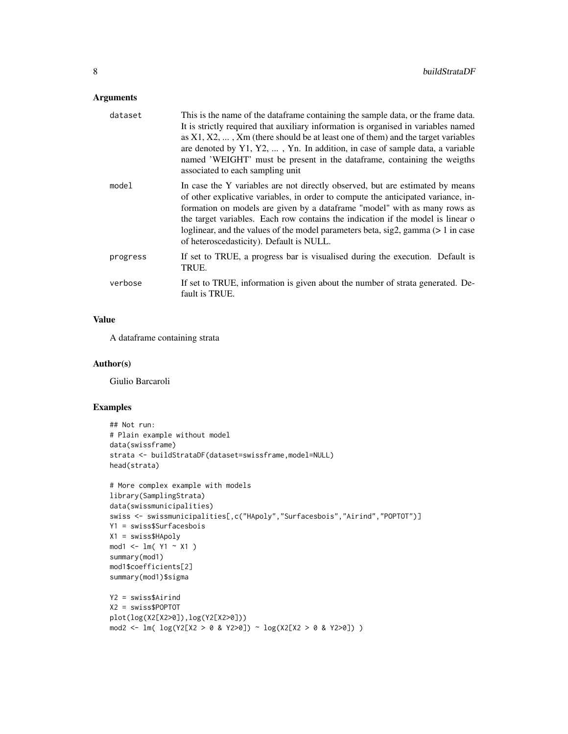#### Arguments

| dataset  | This is the name of the data frame containing the sample data, or the frame data.<br>It is strictly required that auxiliary information is organised in variables named<br>as $X1, X2, \ldots$ , $Xm$ (there should be at least one of them) and the target variables<br>are denoted by $Y1, Y2, \ldots$ , Yn. In addition, in case of sample data, a variable<br>named 'WEIGHT' must be present in the dataframe, containing the weigths<br>associated to each sampling unit |
|----------|-------------------------------------------------------------------------------------------------------------------------------------------------------------------------------------------------------------------------------------------------------------------------------------------------------------------------------------------------------------------------------------------------------------------------------------------------------------------------------|
| model    | In case the Y variables are not directly observed, but are estimated by means<br>of other explicative variables, in order to compute the anticipated variance, in-<br>formation on models are given by a dataframe "model" with as many rows as<br>the target variables. Each row contains the indication if the model is linear o<br>loglinear, and the values of the model parameters beta, sig2, gamma (> 1 in case<br>of heteroscedasticity). Default is NULL.            |
| progress | If set to TRUE, a progress bar is visualised during the execution. Default is<br>TRUE.                                                                                                                                                                                                                                                                                                                                                                                        |
| verbose  | If set to TRUE, information is given about the number of strata generated. De-<br>fault is TRUE.                                                                                                                                                                                                                                                                                                                                                                              |

#### Value

A dataframe containing strata

#### Author(s)

Giulio Barcaroli

```
## Not run:
# Plain example without model
data(swissframe)
strata <- buildStrataDF(dataset=swissframe,model=NULL)
head(strata)
# More complex example with models
library(SamplingStrata)
data(swissmunicipalities)
swiss <- swissmunicipalities[,c("HApoly","Surfacesbois","Airind","POPTOT")]
Y1 = swiss$Surfacesbois
X1 = swiss$HApoly
mod1 <- lm( Y1 ~ X1 )summary(mod1)
mod1$coefficients[2]
summary(mod1)$sigma
Y2 = swiss$Airind
X2 = swiss$POPTOT
plot(log(X2[X2>0]),log(Y2[X2>0]))
mod2 <- lm( log(Y2[X2 > 0 & Y2>0]) ~ log(X2[X2 > 0 & Y2>0]) )
```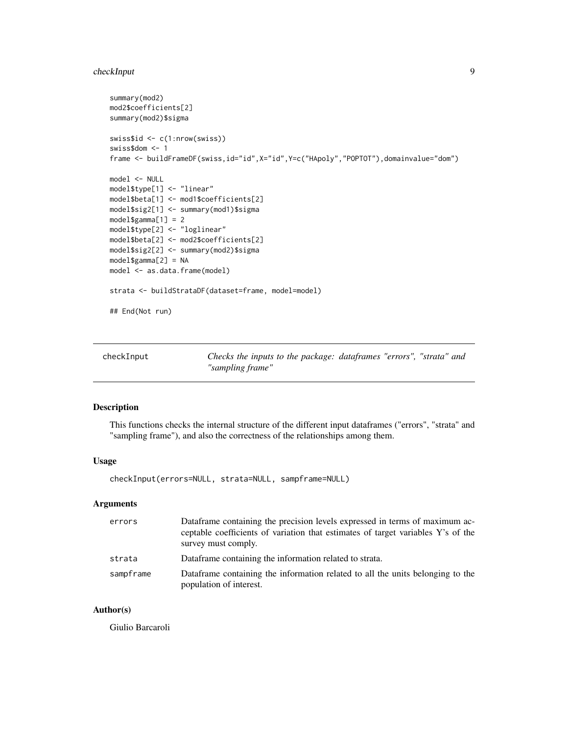#### <span id="page-8-0"></span>checkInput 9

```
summary(mod2)
mod2$coefficients[2]
summary(mod2)$sigma
swiss$id <- c(1:nrow(swiss))
swiss$dom <- 1
frame <- buildFrameDF(swiss,id="id",X="id",Y=c("HApoly","POPTOT"),domainvalue="dom")
model <- NULL
model$type[1] <- "linear"
model$beta[1] <- mod1$coefficients[2]
model$sig2[1] <- summary(mod1)$sigma
model$gamma[1] = 2
model$type[2] <- "loglinear"
model$beta[2] <- mod2$coefficients[2]
model$sig2[2] <- summary(mod2)$sigma
model$gamma[2] = NA
model <- as.data.frame(model)
strata <- buildStrataDF(dataset=frame, model=model)
## End(Not run)
```
checkInput *Checks the inputs to the package: dataframes "errors", "strata" and "sampling frame"*

#### Description

This functions checks the internal structure of the different input dataframes ("errors", "strata" and "sampling frame"), and also the correctness of the relationships among them.

#### Usage

checkInput(errors=NULL, strata=NULL, sampframe=NULL)

#### Arguments

| errors    | Dataframe containing the precision levels expressed in terms of maximum ac-<br>ceptable coefficients of variation that estimates of target variables Y's of the<br>survey must comply. |
|-----------|----------------------------------------------------------------------------------------------------------------------------------------------------------------------------------------|
| strata    | Dataframe containing the information related to strata.                                                                                                                                |
| sampframe | Dataframe containing the information related to all the units belonging to the<br>population of interest.                                                                              |

#### Author(s)

Giulio Barcaroli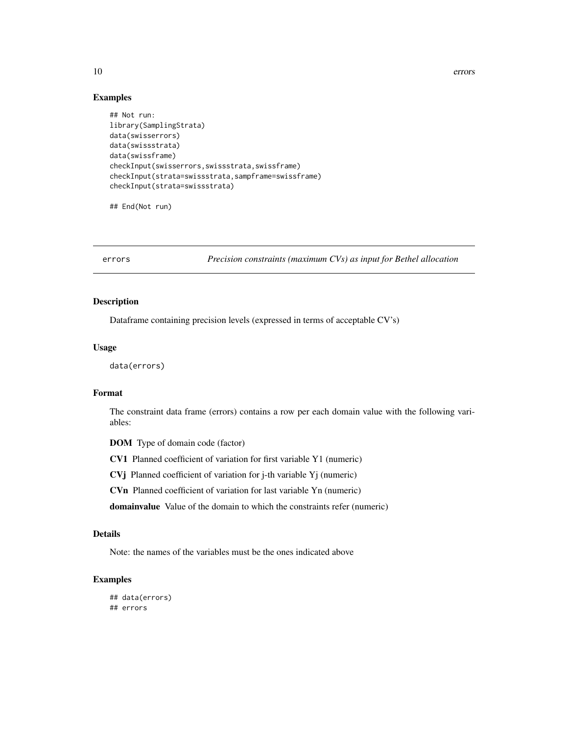<span id="page-9-0"></span>10 errors

#### Examples

```
## Not run:
library(SamplingStrata)
data(swisserrors)
data(swissstrata)
data(swissframe)
checkInput(swisserrors,swissstrata,swissframe)
checkInput(strata=swissstrata,sampframe=swissframe)
checkInput(strata=swissstrata)
```
## End(Not run)

errors *Precision constraints (maximum CVs) as input for Bethel allocation*

#### Description

Dataframe containing precision levels (expressed in terms of acceptable CV's)

#### Usage

data(errors)

#### Format

The constraint data frame (errors) contains a row per each domain value with the following variables:

DOM Type of domain code (factor)

CV1 Planned coefficient of variation for first variable Y1 (numeric)

CVj Planned coefficient of variation for j-th variable Yj (numeric)

CVn Planned coefficient of variation for last variable Yn (numeric)

domainvalue Value of the domain to which the constraints refer (numeric)

#### Details

Note: the names of the variables must be the ones indicated above

```
## data(errors)
## errors
```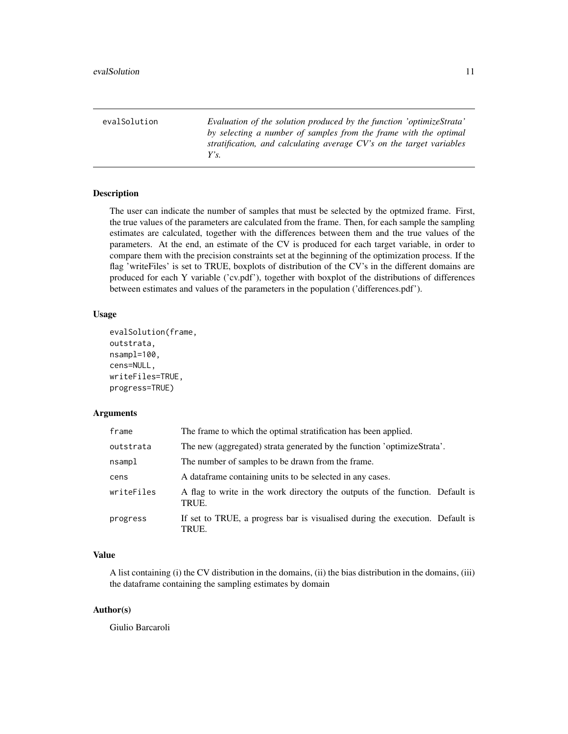<span id="page-10-0"></span>evalSolution *Evaluation of the solution produced by the function 'optimizeStrata' by selecting a number of samples from the frame with the optimal stratification, and calculating average CV's on the target variables Y's.*

#### Description

The user can indicate the number of samples that must be selected by the optmized frame. First, the true values of the parameters are calculated from the frame. Then, for each sample the sampling estimates are calculated, together with the differences between them and the true values of the parameters. At the end, an estimate of the CV is produced for each target variable, in order to compare them with the precision constraints set at the beginning of the optimization process. If the flag 'writeFiles' is set to TRUE, boxplots of distribution of the CV's in the different domains are produced for each Y variable ('cv.pdf'), together with boxplot of the distributions of differences between estimates and values of the parameters in the population ('differences.pdf').

#### Usage

```
evalSolution(frame,
outstrata,
nsampl=100,
cens=NULL,
writeFiles=TRUE,
progress=TRUE)
```
#### Arguments

| frame      | The frame to which the optimal stratification has been applied.                        |
|------------|----------------------------------------------------------------------------------------|
| outstrata  | The new (aggregated) strata generated by the function 'optimizeStrata'.                |
| nsampl     | The number of samples to be drawn from the frame.                                      |
| cens       | A data frame containing units to be selected in any cases.                             |
| writeFiles | A flag to write in the work directory the outputs of the function. Default is<br>TRUE. |
| progress   | If set to TRUE, a progress bar is visualised during the execution. Default is<br>TRUE. |

#### Value

A list containing (i) the CV distribution in the domains, (ii) the bias distribution in the domains, (iii) the dataframe containing the sampling estimates by domain

#### Author(s)

Giulio Barcaroli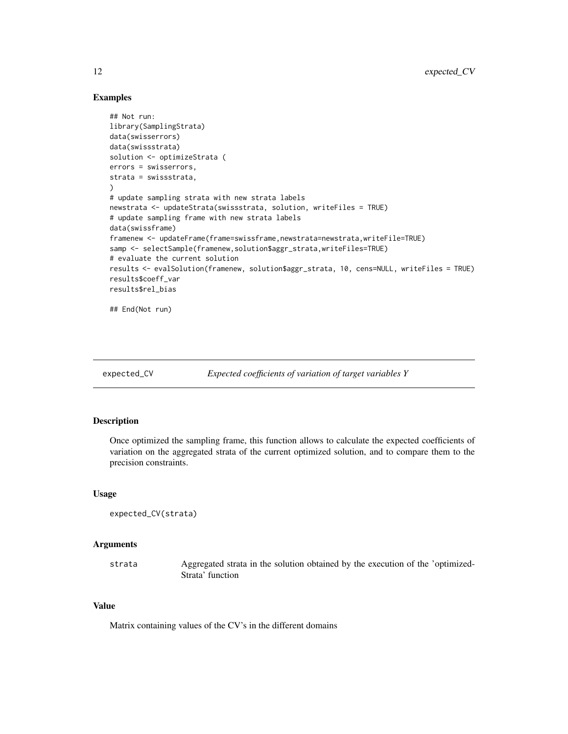#### Examples

```
## Not run:
library(SamplingStrata)
data(swisserrors)
data(swissstrata)
solution <- optimizeStrata (
errors = swisserrors,
strata = swissstrata,
\lambda# update sampling strata with new strata labels
newstrata <- updateStrata(swissstrata, solution, writeFiles = TRUE)
# update sampling frame with new strata labels
data(swissframe)
framenew <- updateFrame(frame=swissframe,newstrata=newstrata,writeFile=TRUE)
samp <- selectSample(framenew,solution$aggr_strata,writeFiles=TRUE)
# evaluate the current solution
results <- evalSolution(framenew, solution$aggr_strata, 10, cens=NULL, writeFiles = TRUE)
results$coeff_var
results$rel_bias
## End(Not run)
```
expected\_CV *Expected coefficients of variation of target variables Y*

#### Description

Once optimized the sampling frame, this function allows to calculate the expected coefficients of variation on the aggregated strata of the current optimized solution, and to compare them to the precision constraints.

#### Usage

```
expected_CV(strata)
```
#### Arguments

strata Aggregated strata in the solution obtained by the execution of the 'optimized-Strata' function

#### Value

Matrix containing values of the CV's in the different domains

<span id="page-11-0"></span>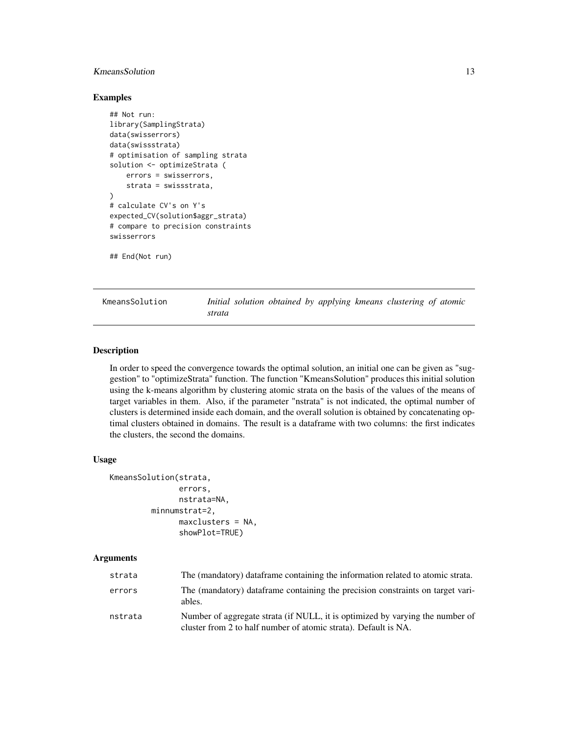#### <span id="page-12-0"></span>KmeansSolution 13

#### Examples

```
## Not run:
library(SamplingStrata)
data(swisserrors)
data(swissstrata)
# optimisation of sampling strata
solution <- optimizeStrata (
    errors = swisserrors,
    strata = swissstrata,
)
# calculate CV's on Y's
expected_CV(solution$aggr_strata)
# compare to precision constraints
swisserrors
```
## End(Not run)

KmeansSolution *Initial solution obtained by applying kmeans clustering of atomic strata*

#### Description

In order to speed the convergence towards the optimal solution, an initial one can be given as "suggestion" to "optimizeStrata" function. The function "KmeansSolution" produces this initial solution using the k-means algorithm by clustering atomic strata on the basis of the values of the means of target variables in them. Also, if the parameter "nstrata" is not indicated, the optimal number of clusters is determined inside each domain, and the overall solution is obtained by concatenating optimal clusters obtained in domains. The result is a dataframe with two columns: the first indicates the clusters, the second the domains.

#### Usage

```
KmeansSolution(strata,
               errors,
               nstrata=NA,
         minnumstrat=2,
               maxclusters = NA,
               showPlot=TRUE)
```
#### Arguments

| strata  | The (mandatory) data frame containing the information related to atomic strata.                                                                  |
|---------|--------------------------------------------------------------------------------------------------------------------------------------------------|
| errors  | The (mandatory) dataframe containing the precision constraints on target vari-<br>ables.                                                         |
| nstrata | Number of aggregate strata (if NULL, it is optimized by varying the number of<br>cluster from 2 to half number of atomic strata). Default is NA. |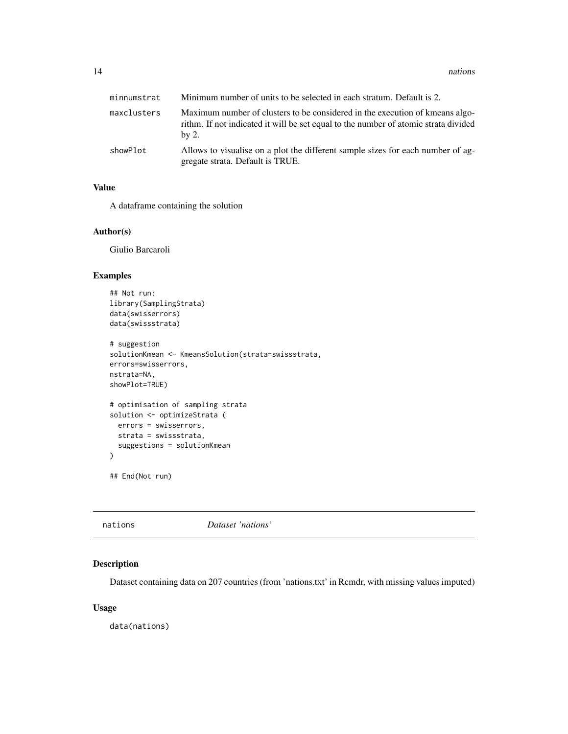<span id="page-13-0"></span>

| minnumstrat | Minimum number of units to be selected in each stratum. Default is 2.                                                                                                        |
|-------------|------------------------------------------------------------------------------------------------------------------------------------------------------------------------------|
| maxclusters | Maximum number of clusters to be considered in the execution of kmeans algo-<br>rithm. If not indicated it will be set equal to the number of atomic strata divided<br>by 2. |
| showPlot    | Allows to visualise on a plot the different sample sizes for each number of ag-<br>gregate strata. Default is TRUE.                                                          |

#### Value

A dataframe containing the solution

#### Author(s)

Giulio Barcaroli

#### Examples

```
## Not run:
library(SamplingStrata)
data(swisserrors)
data(swissstrata)
# suggestion
solutionKmean <- KmeansSolution(strata=swissstrata,
errors=swisserrors,
nstrata=NA,
showPlot=TRUE)
# optimisation of sampling strata
solution <- optimizeStrata (
  errors = swisserrors,
  strata = swissstrata,
  suggestions = solutionKmean
\mathcal{L}## End(Not run)
```
#### Description

Dataset containing data on 207 countries (from 'nations.txt' in Rcmdr, with missing values imputed)

#### Usage

data(nations)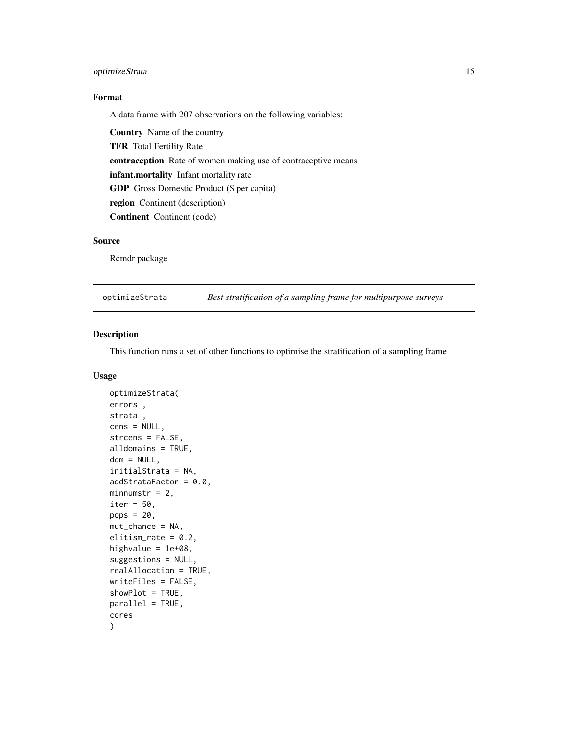#### <span id="page-14-0"></span>optimizeStrata 15

#### Format

A data frame with 207 observations on the following variables:

Country Name of the country TFR Total Fertility Rate contraception Rate of women making use of contraceptive means infant.mortality Infant mortality rate GDP Gross Domestic Product (\$ per capita) region Continent (description) Continent Continent (code)

#### Source

Rcmdr package

optimizeStrata *Best stratification of a sampling frame for multipurpose surveys*

#### Description

This function runs a set of other functions to optimise the stratification of a sampling frame

#### Usage

```
optimizeStrata(
errors ,
strata ,
cens = NULL,
strcens = FALSE,
alldomains = TRUE,
dom = NULL,initialStrata = NA,
addStrataFactor = 0.0,
minnumstr = 2,
iter = 50,
pops = 20,
mut_chance = NA,
elitism_rate = 0.2,
highvalue = 1e+08,
suggestions = NULL,
realAllocation = TRUE,
writeFiles = FALSE,
showPlot = TRUE,
parallel = TRUE,
cores
)
```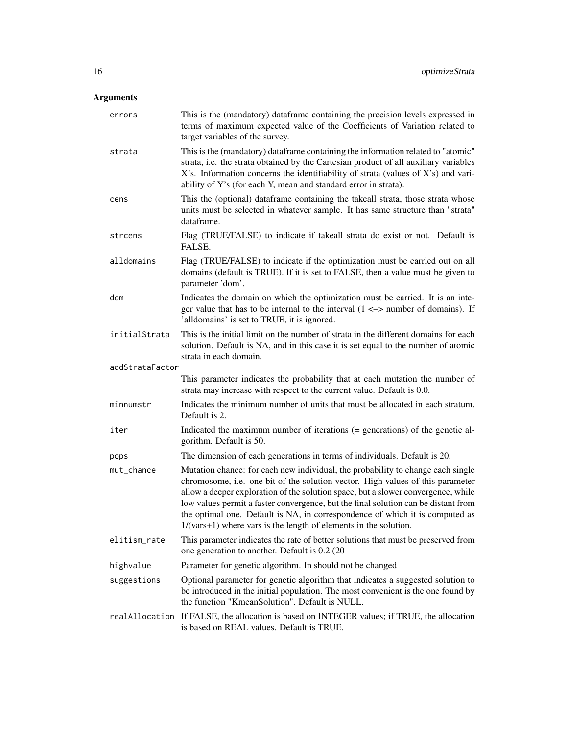#### Arguments

| errors          | This is the (mandatory) dataframe containing the precision levels expressed in<br>terms of maximum expected value of the Coefficients of Variation related to<br>target variables of the survey.                                                                                                                                                                                                                                                                                                   |
|-----------------|----------------------------------------------------------------------------------------------------------------------------------------------------------------------------------------------------------------------------------------------------------------------------------------------------------------------------------------------------------------------------------------------------------------------------------------------------------------------------------------------------|
| strata          | This is the (mandatory) dataframe containing the information related to "atomic"<br>strata, i.e. the strata obtained by the Cartesian product of all auxiliary variables<br>X's. Information concerns the identifiability of strata (values of X's) and vari-<br>ability of Y's (for each Y, mean and standard error in strata).                                                                                                                                                                   |
| cens            | This the (optional) dataframe containing the takeall strata, those strata whose<br>units must be selected in whatever sample. It has same structure than "strata"<br>dataframe.                                                                                                                                                                                                                                                                                                                    |
| strcens         | Flag (TRUE/FALSE) to indicate if takeall strata do exist or not. Default is<br>FALSE.                                                                                                                                                                                                                                                                                                                                                                                                              |
| alldomains      | Flag (TRUE/FALSE) to indicate if the optimization must be carried out on all<br>domains (default is TRUE). If it is set to FALSE, then a value must be given to<br>parameter 'dom'.                                                                                                                                                                                                                                                                                                                |
| dom             | Indicates the domain on which the optimization must be carried. It is an inte-<br>ger value that has to be internal to the interval $(1 \le x$ number of domains). If<br>'alldomains' is set to TRUE, it is ignored.                                                                                                                                                                                                                                                                               |
| initialStrata   | This is the initial limit on the number of strata in the different domains for each<br>solution. Default is NA, and in this case it is set equal to the number of atomic<br>strata in each domain.                                                                                                                                                                                                                                                                                                 |
| addStrataFactor |                                                                                                                                                                                                                                                                                                                                                                                                                                                                                                    |
|                 | This parameter indicates the probability that at each mutation the number of<br>strata may increase with respect to the current value. Default is 0.0.                                                                                                                                                                                                                                                                                                                                             |
| minnumstr       | Indicates the minimum number of units that must be allocated in each stratum.<br>Default is 2.                                                                                                                                                                                                                                                                                                                                                                                                     |
| iter            | Indicated the maximum number of iterations $(=$ generations) of the genetic al-<br>gorithm. Default is 50.                                                                                                                                                                                                                                                                                                                                                                                         |
| pops            | The dimension of each generations in terms of individuals. Default is 20.                                                                                                                                                                                                                                                                                                                                                                                                                          |
| mut_chance      | Mutation chance: for each new individual, the probability to change each single<br>chromosome, i.e. one bit of the solution vector. High values of this parameter<br>allow a deeper exploration of the solution space, but a slower convergence, while<br>low values permit a faster convergence, but the final solution can be distant from<br>the optimal one. Default is NA, in correspondence of which it is computed as<br>$1/(vars+1)$ where vars is the length of elements in the solution. |
| elitism_rate    | This parameter indicates the rate of better solutions that must be preserved from<br>one generation to another. Default is 0.2 (20)                                                                                                                                                                                                                                                                                                                                                                |
| highvalue       | Parameter for genetic algorithm. In should not be changed                                                                                                                                                                                                                                                                                                                                                                                                                                          |
| suggestions     | Optional parameter for genetic algorithm that indicates a suggested solution to<br>be introduced in the initial population. The most convenient is the one found by<br>the function "KmeanSolution". Default is NULL.                                                                                                                                                                                                                                                                              |
|                 | realAllocation If FALSE, the allocation is based on INTEGER values; if TRUE, the allocation<br>is based on REAL values. Default is TRUE.                                                                                                                                                                                                                                                                                                                                                           |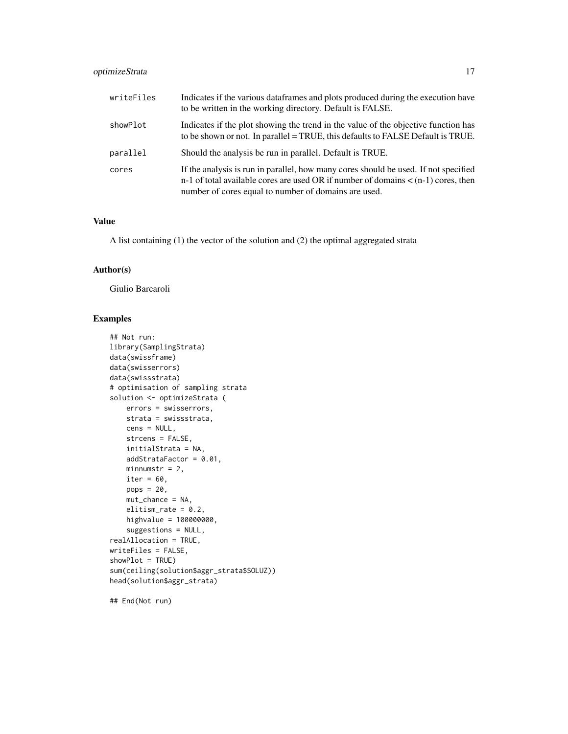#### optimizeStrata 17

| writeFiles | Indicates if the various dataframes and plots produced during the execution have<br>to be written in the working directory. Default is FALSE.                                                                                        |
|------------|--------------------------------------------------------------------------------------------------------------------------------------------------------------------------------------------------------------------------------------|
| showPlot   | Indicates if the plot showing the trend in the value of the objective function has<br>to be shown or not. In parallel = TRUE, this defaults to FALSE Default is TRUE.                                                                |
| parallel   | Should the analysis be run in parallel. Default is TRUE.                                                                                                                                                                             |
| cores      | If the analysis is run in parallel, how many cores should be used. If not specified<br>n-1 of total available cores are used OR if number of domains $\lt$ (n-1) cores, then<br>number of cores equal to number of domains are used. |

#### Value

A list containing (1) the vector of the solution and (2) the optimal aggregated strata

#### Author(s)

Giulio Barcaroli

#### Examples

```
## Not run:
library(SamplingStrata)
data(swissframe)
data(swisserrors)
data(swissstrata)
# optimisation of sampling strata
solution <- optimizeStrata (
   errors = swisserrors,
   strata = swissstrata,
   cens = NULL,
   strcens = FALSE,
   initialStrata = NA,
   addStrataFactor = 0.01,
   minnumstr = 2,
   iter = 60,
   pops = 20,
   mut_chance = NA,
   elitism_rate = 0.2,
   highvalue = 100000000,
    suggestions = NULL,
realAllocation = TRUE,
writeFiles = FALSE,
showPlot = TRUE)
sum(ceiling(solution$aggr_strata$SOLUZ))
head(solution$aggr_strata)
```
## End(Not run)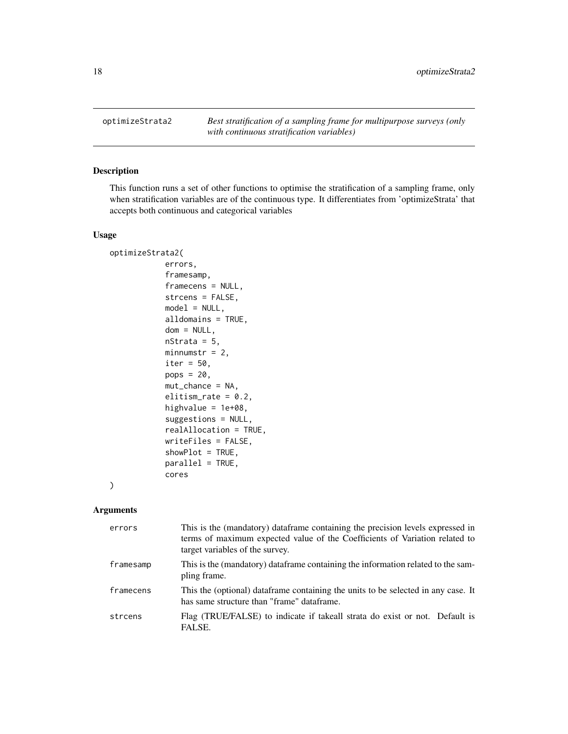<span id="page-17-0"></span>optimizeStrata2 *Best stratification of a sampling frame for multipurpose surveys (only with continuous stratification variables)*

#### Description

This function runs a set of other functions to optimise the stratification of a sampling frame, only when stratification variables are of the continuous type. It differentiates from 'optimizeStrata' that accepts both continuous and categorical variables

#### Usage

```
optimizeStrata2(
            errors,
            framesamp,
            framecens = NULL,
            strcens = FALSE,
            model = NULL,alldomains = TRUE,
            dom = NULL,nStrata = 5,
            minnumstr = 2,
            iter = 50,
            pops = 20,
            mut_chance = NA,
            elitism_rate = 0.2,
            highvalue = 1e+08,
            suggestions = NULL,
            realAllocation = TRUE,
            writeFiles = FALSE,
            showPlot = TRUE,
            parallel = TRUE,
            cores
```
### ) Arguments

| errors    | This is the (mandatory) dataframe containing the precision levels expressed in<br>terms of maximum expected value of the Coefficients of Variation related to<br>target variables of the survey. |
|-----------|--------------------------------------------------------------------------------------------------------------------------------------------------------------------------------------------------|
| framesamp | This is the (mandatory) dataframe containing the information related to the sam-<br>pling frame.                                                                                                 |
| framecens | This the (optional) data frame containing the units to be selected in any case. It<br>has same structure than "frame" dataframe.                                                                 |
| strcens   | Flag (TRUE/FALSE) to indicate if takeall strata do exist or not. Default is<br>FALSE.                                                                                                            |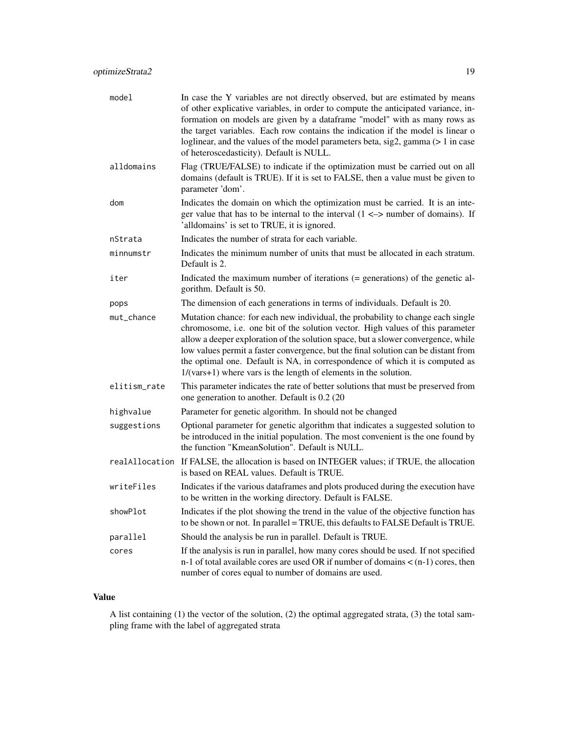| model          | In case the Y variables are not directly observed, but are estimated by means<br>of other explicative variables, in order to compute the anticipated variance, in-<br>formation on models are given by a dataframe "model" with as many rows as<br>the target variables. Each row contains the indication if the model is linear o<br>loglinear, and the values of the model parameters beta, sig2, gamma (> 1 in case<br>of heteroscedasticity). Default is NULL.                                 |
|----------------|----------------------------------------------------------------------------------------------------------------------------------------------------------------------------------------------------------------------------------------------------------------------------------------------------------------------------------------------------------------------------------------------------------------------------------------------------------------------------------------------------|
| alldomains     | Flag (TRUE/FALSE) to indicate if the optimization must be carried out on all<br>domains (default is TRUE). If it is set to FALSE, then a value must be given to<br>parameter 'dom'.                                                                                                                                                                                                                                                                                                                |
| dom            | Indicates the domain on which the optimization must be carried. It is an inte-<br>ger value that has to be internal to the interval $(1 \le$ > number of domains). If<br>'alldomains' is set to TRUE, it is ignored.                                                                                                                                                                                                                                                                               |
| nStrata        | Indicates the number of strata for each variable.                                                                                                                                                                                                                                                                                                                                                                                                                                                  |
| minnumstr      | Indicates the minimum number of units that must be allocated in each stratum.<br>Default is 2.                                                                                                                                                                                                                                                                                                                                                                                                     |
| iter           | Indicated the maximum number of iterations $(=$ generations) of the genetic al-<br>gorithm. Default is 50.                                                                                                                                                                                                                                                                                                                                                                                         |
| pops           | The dimension of each generations in terms of individuals. Default is 20.                                                                                                                                                                                                                                                                                                                                                                                                                          |
| mut_chance     | Mutation chance: for each new individual, the probability to change each single<br>chromosome, i.e. one bit of the solution vector. High values of this parameter<br>allow a deeper exploration of the solution space, but a slower convergence, while<br>low values permit a faster convergence, but the final solution can be distant from<br>the optimal one. Default is NA, in correspondence of which it is computed as<br>$1/(vars+1)$ where vars is the length of elements in the solution. |
| elitism_rate   | This parameter indicates the rate of better solutions that must be preserved from<br>one generation to another. Default is 0.2 (20)                                                                                                                                                                                                                                                                                                                                                                |
| highvalue      | Parameter for genetic algorithm. In should not be changed                                                                                                                                                                                                                                                                                                                                                                                                                                          |
| suggestions    | Optional parameter for genetic algorithm that indicates a suggested solution to<br>be introduced in the initial population. The most convenient is the one found by<br>the function "KmeanSolution". Default is NULL.                                                                                                                                                                                                                                                                              |
| realAllocation | If FALSE, the allocation is based on INTEGER values; if TRUE, the allocation<br>is based on REAL values. Default is TRUE.                                                                                                                                                                                                                                                                                                                                                                          |
| writeFiles     | Indicates if the various dataframes and plots produced during the execution have<br>to be written in the working directory. Default is FALSE.                                                                                                                                                                                                                                                                                                                                                      |
| showPlot       | Indicates if the plot showing the trend in the value of the objective function has<br>to be shown or not. In parallel = TRUE, this defaults to FALSE Default is TRUE.                                                                                                                                                                                                                                                                                                                              |
| parallel       | Should the analysis be run in parallel. Default is TRUE.                                                                                                                                                                                                                                                                                                                                                                                                                                           |
| cores          | If the analysis is run in parallel, how many cores should be used. If not specified<br>n-1 of total available cores are used OR if number of domains $\lt$ (n-1) cores, then<br>number of cores equal to number of domains are used.                                                                                                                                                                                                                                                               |

#### Value

A list containing (1) the vector of the solution, (2) the optimal aggregated strata, (3) the total sampling frame with the label of aggregated strata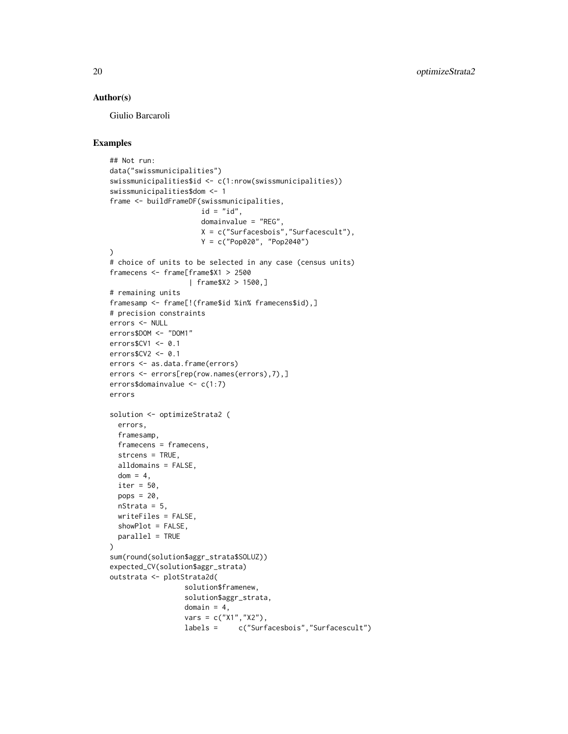#### Author(s)

Giulio Barcaroli

```
## Not run:
data("swissmunicipalities")
swissmunicipalities$id <- c(1:nrow(swissmunicipalities))
swissmunicipalities$dom <- 1
frame <- buildFrameDF(swissmunicipalities,
                      id = "id",domainvalue = "REG",
                      X = c("Surfacesbois","Surfacescult"),
                      Y = c("Pop020", "Pop2040")
\lambda# choice of units to be selected in any case (census units)
framecens <- frame[frame$X1 > 2500
                   | frame$X2 > 1500,]
# remaining units
framesamp <- frame[!(frame$id %in% framecens$id),]
# precision constraints
errors <- NULL
errors$DOM <- "DOM1"
errors$CV1 <- 0.1
errors$CV2 <- 0.1
errors <- as.data.frame(errors)
errors <- errors[rep(row.names(errors),7),]
errors$domainvalue <- c(1:7)
errors
solution <- optimizeStrata2 (
  errors,
  framesamp,
  framecens = framecens,
  strcens = TRUE,
  alldomains = FALSE,
  dom = 4,
 iter = 50,
  pops = 20,nStrata = 5,
  writeFiles = FALSE,
  showPlot = FALSE,
  parallel = TRUE
\lambdasum(round(solution$aggr_strata$SOLUZ))
expected_CV(solution$aggr_strata)
outstrata <- plotStrata2d(
                  solution$framenew,
                  solution$aggr_strata,
                  domain = 4,
                  vars = c("X1", "X2"),
                  labels = c("Surfacesbois","Surfacescult")
```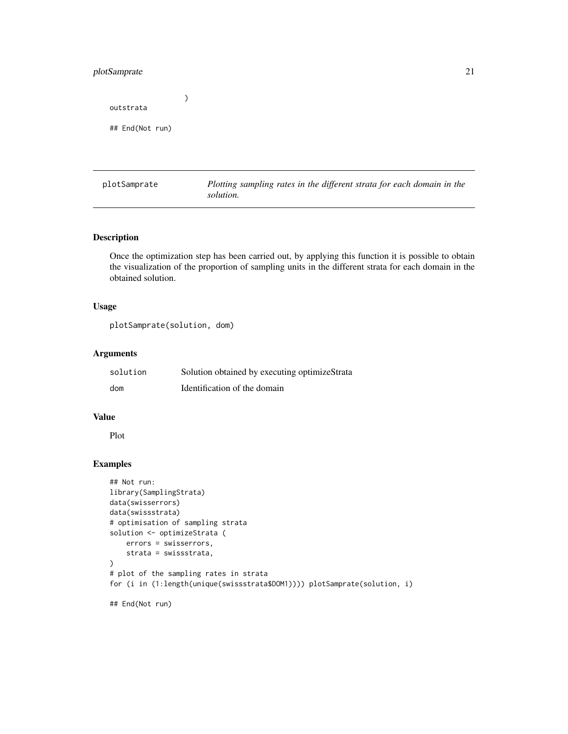#### <span id="page-20-0"></span>plotSamprate 21

) outstrata ## End(Not run)

plotSamprate *Plotting sampling rates in the different strata for each domain in the solution.*

#### Description

Once the optimization step has been carried out, by applying this function it is possible to obtain the visualization of the proportion of sampling units in the different strata for each domain in the obtained solution.

#### Usage

plotSamprate(solution, dom)

#### Arguments

| solution | Solution obtained by executing optimizeStrata |
|----------|-----------------------------------------------|
| dom      | Identification of the domain                  |

#### Value

Plot

```
## Not run:
library(SamplingStrata)
data(swisserrors)
data(swissstrata)
# optimisation of sampling strata
solution <- optimizeStrata (
    errors = swisserrors,
    strata = swissstrata,
)
# plot of the sampling rates in strata
for (i in (1:length(unique(swissstrata$DOM1)))) plotSamprate(solution, i)
## End(Not run)
```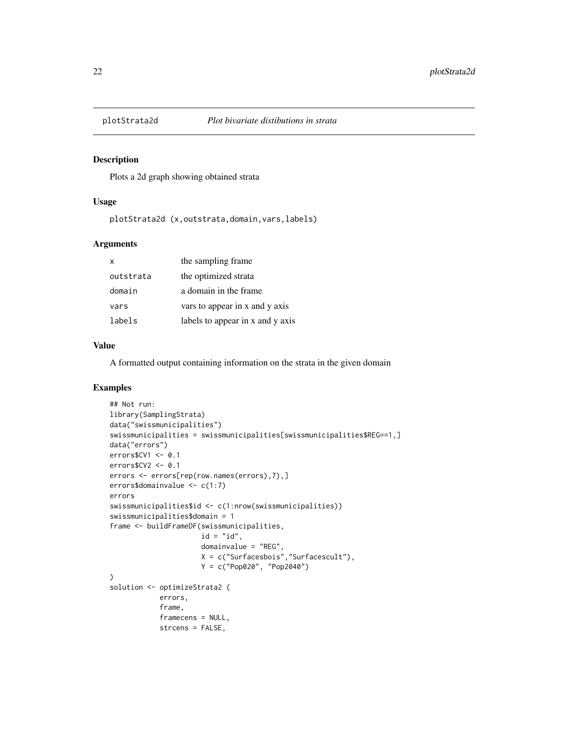<span id="page-21-0"></span>

#### Description

Plots a 2d graph showing obtained strata

#### Usage

plotStrata2d (x,outstrata,domain,vars,labels)

#### Arguments

| x         | the sampling frame               |
|-----------|----------------------------------|
| outstrata | the optimized strata             |
| domain    | a domain in the frame            |
| vars      | vars to appear in x and y axis   |
| labels    | labels to appear in x and y axis |

#### Value

A formatted output containing information on the strata in the given domain

```
## Not run:
library(SamplingStrata)
data("swissmunicipalities")
swissmunicipalities = swissmunicipalities[swissmunicipalities$REG==1,]
data("errors")
errors$CV1 <- 0.1
errors$CV2 <- 0.1
errors <- errors[rep(row.names(errors),7),]
errors$domainvalue <- c(1:7)
errors
swissmunicipalities$id <- c(1:nrow(swissmunicipalities))
swissmunicipalities$domain = 1
frame <- buildFrameDF(swissmunicipalities,
                      id = "id",domainvalue = "REG",
                      X = c("Surfacesbois","Surfacescult"),
                     Y = c("Pop020", "Pop2040")
)
solution <- optimizeStrata2 (
            errors,
            frame,
            framecens = NULL,
            strcens = FALSE,
```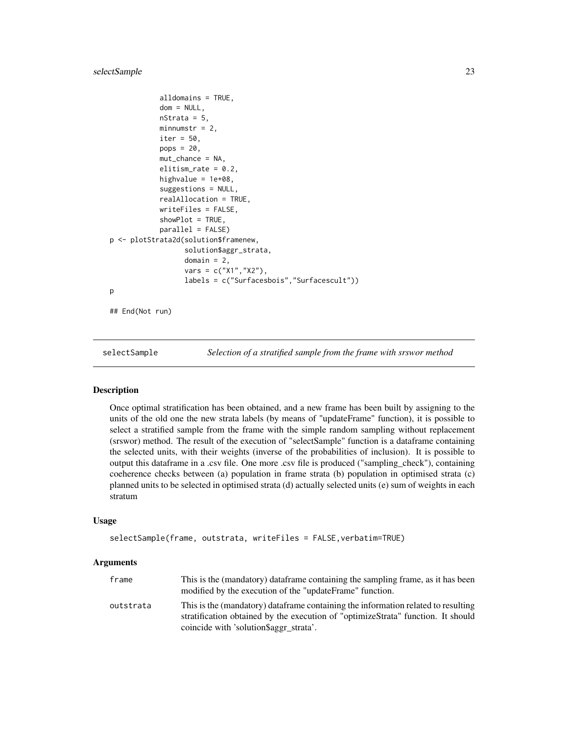#### <span id="page-22-0"></span>selectSample 23

```
alldomains = TRUE,
            dom = NULL,nStrata = 5,
            minnumstr = 2,
            iter = 50,
            pops = 20,
            mut_chance = NA,
            elitism_rate = 0.2,
            highvalue = 1e+08,
            suggestions = NULL,
            realAllocation = TRUE,
            writeFiles = FALSE,
            showPlot = TRUE,
            parallel = FALSE)
p <- plotStrata2d(solution$framenew,
                  solution$aggr_strata,
                  domain = 2,
                  vars = c("X1","X2"),
                  labels = c("Surfacesbois","Surfacescult"))
p
## End(Not run)
```
selectSample *Selection of a stratified sample from the frame with srswor method*

#### Description

Once optimal stratification has been obtained, and a new frame has been built by assigning to the units of the old one the new strata labels (by means of "updateFrame" function), it is possible to select a stratified sample from the frame with the simple random sampling without replacement (srswor) method. The result of the execution of "selectSample" function is a dataframe containing the selected units, with their weights (inverse of the probabilities of inclusion). It is possible to output this dataframe in a .csv file. One more .csv file is produced ("sampling\_check"), containing coeherence checks between (a) population in frame strata (b) population in optimised strata (c) planned units to be selected in optimised strata (d) actually selected units (e) sum of weights in each stratum

#### Usage

```
selectSample(frame, outstrata, writeFiles = FALSE,verbatim=TRUE)
```
#### Arguments

| frame     | This is the (mandatory) dataframe containing the sampling frame, as it has been<br>modified by the execution of the "updateFrame" function.                                                                     |
|-----------|-----------------------------------------------------------------------------------------------------------------------------------------------------------------------------------------------------------------|
| outstrata | This is the (mandatory) dataframe containing the information related to resulting<br>stratification obtained by the execution of "optimizeStrata" function. It should<br>coincide with 'solution\$aggr_strata'. |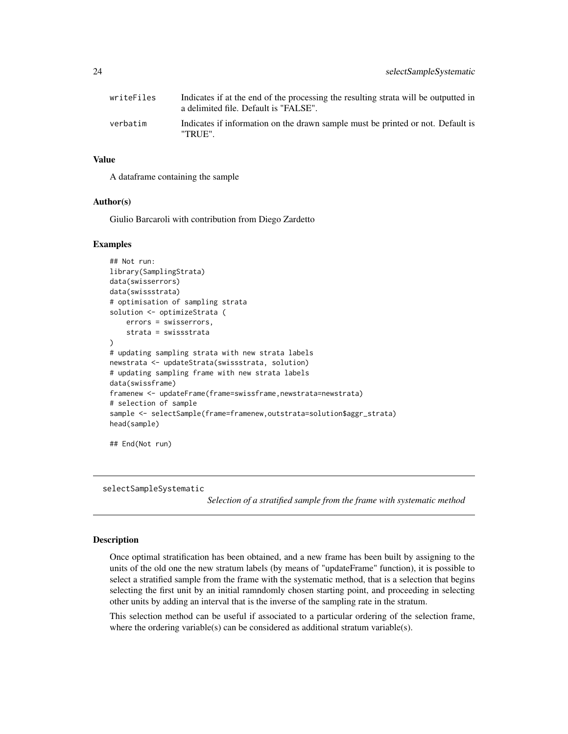<span id="page-23-0"></span>

| writeFiles | Indicates if at the end of the processing the resulting strata will be outputted in<br>a delimited file. Default is "FALSE". |
|------------|------------------------------------------------------------------------------------------------------------------------------|
| verbatim   | Indicates if information on the drawn sample must be printed or not. Default is<br>"TRUE".                                   |

#### Value

A dataframe containing the sample

#### Author(s)

Giulio Barcaroli with contribution from Diego Zardetto

#### Examples

```
## Not run:
library(SamplingStrata)
data(swisserrors)
data(swissstrata)
# optimisation of sampling strata
solution <- optimizeStrata (
   errors = swisserrors,
    strata = swissstrata
)
# updating sampling strata with new strata labels
newstrata <- updateStrata(swissstrata, solution)
# updating sampling frame with new strata labels
data(swissframe)
framenew <- updateFrame(frame=swissframe,newstrata=newstrata)
# selection of sample
sample <- selectSample(frame=framenew,outstrata=solution$aggr_strata)
head(sample)
## End(Not run)
```
selectSampleSystematic

*Selection of a stratified sample from the frame with systematic method*

#### Description

Once optimal stratification has been obtained, and a new frame has been built by assigning to the units of the old one the new stratum labels (by means of "updateFrame" function), it is possible to select a stratified sample from the frame with the systematic method, that is a selection that begins selecting the first unit by an initial ramndomly chosen starting point, and proceeding in selecting other units by adding an interval that is the inverse of the sampling rate in the stratum.

This selection method can be useful if associated to a particular ordering of the selection frame, where the ordering variable(s) can be considered as additional stratum variable(s).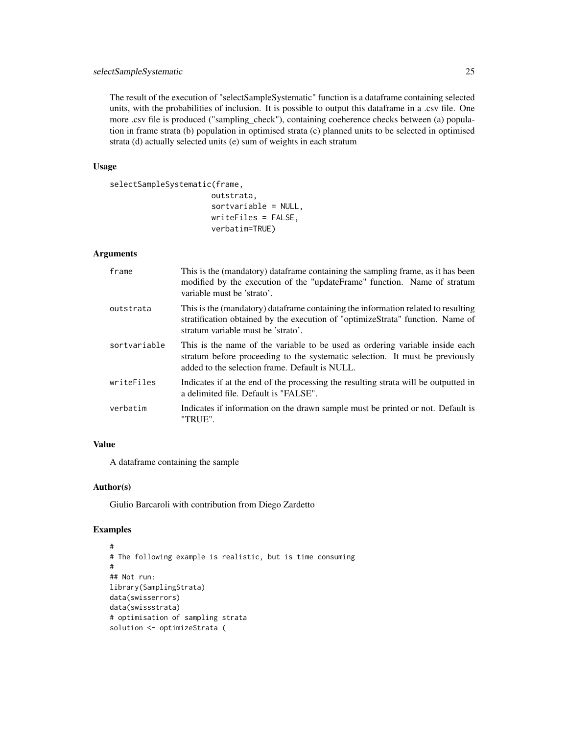The result of the execution of "selectSampleSystematic" function is a dataframe containing selected units, with the probabilities of inclusion. It is possible to output this dataframe in a .csv file. One more .csv file is produced ("sampling\_check"), containing coeherence checks between (a) population in frame strata (b) population in optimised strata (c) planned units to be selected in optimised strata (d) actually selected units (e) sum of weights in each stratum

#### Usage

```
selectSampleSystematic(frame,
```
outstrata, sortvariable = NULL, writeFiles = FALSE, verbatim=TRUE)

#### Arguments

| frame        | This is the (mandatory) dataframe containing the sampling frame, as it has been<br>modified by the execution of the "updateFrame" function. Name of stratum<br>variable must be 'strato'.                      |
|--------------|----------------------------------------------------------------------------------------------------------------------------------------------------------------------------------------------------------------|
| outstrata    | This is the (mandatory) dataframe containing the information related to resulting<br>stratification obtained by the execution of "optimizeStrata" function. Name of<br>stratum variable must be 'strato'.      |
| sortvariable | This is the name of the variable to be used as ordering variable inside each<br>stratum before proceeding to the systematic selection. It must be previously<br>added to the selection frame. Default is NULL. |
| writeFiles   | Indicates if at the end of the processing the resulting strata will be outputted in<br>a delimited file. Default is "FALSE".                                                                                   |
| verbatim     | Indicates if information on the drawn sample must be printed or not. Default is<br>"TRUE".                                                                                                                     |

#### Value

A dataframe containing the sample

#### Author(s)

Giulio Barcaroli with contribution from Diego Zardetto

```
#
# The following example is realistic, but is time consuming
#
## Not run:
library(SamplingStrata)
data(swisserrors)
data(swissstrata)
# optimisation of sampling strata
solution <- optimizeStrata (
```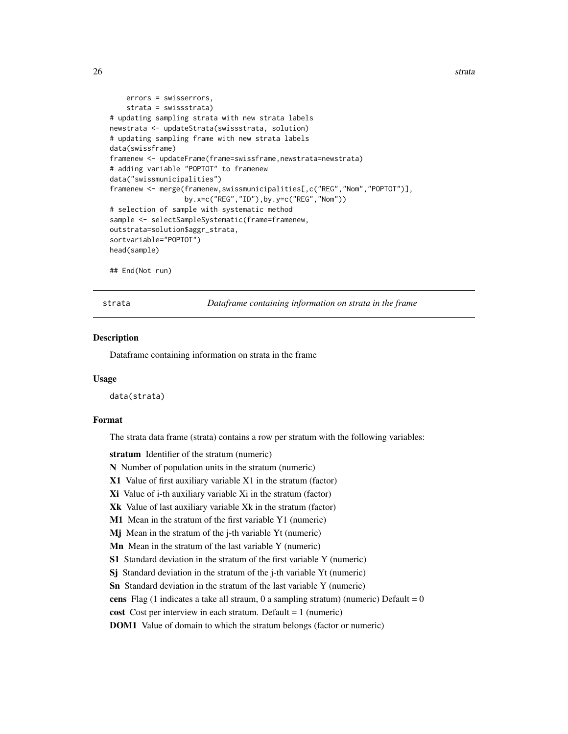```
errors = swisserrors,
    strata = swissstrata)
# updating sampling strata with new strata labels
newstrata <- updateStrata(swissstrata, solution)
# updating sampling frame with new strata labels
data(swissframe)
framenew <- updateFrame(frame=swissframe,newstrata=newstrata)
# adding variable "POPTOT" to framenew
data("swissmunicipalities")
framenew <- merge(framenew,swissmunicipalities[,c("REG","Nom","POPTOT")],
                  by.x=c("REG","ID"),by.y=c("REG","Nom"))
# selection of sample with systematic method
sample <- selectSampleSystematic(frame=framenew,
outstrata=solution$aggr_strata,
sortvariable="POPTOT")
head(sample)
## End(Not run)
```
strata *Dataframe containing information on strata in the frame*

#### **Description**

Dataframe containing information on strata in the frame

#### Usage

data(strata)

#### Format

The strata data frame (strata) contains a row per stratum with the following variables:

stratum Identifier of the stratum (numeric)

N Number of population units in the stratum (numeric)

- X1 Value of first auxiliary variable X1 in the stratum (factor)
- Xi Value of i-th auxiliary variable Xi in the stratum (factor)
- Xk Value of last auxiliary variable Xk in the stratum (factor)
- M1 Mean in the stratum of the first variable Y1 (numeric)
- Mj Mean in the stratum of the j-th variable Yt (numeric)
- Mn Mean in the stratum of the last variable Y (numeric)
- S1 Standard deviation in the stratum of the first variable Y (numeric)
- Si Standard deviation in the stratum of the *j*-th variable Yt (numeric)

Sn Standard deviation in the stratum of the last variable Y (numeric)

cens Flag (1 indicates a take all straum, 0 a sampling stratum) (numeric) Default =  $0$ 

cost Cost per interview in each stratum. Default = 1 (numeric)

DOM1 Value of domain to which the stratum belongs (factor or numeric)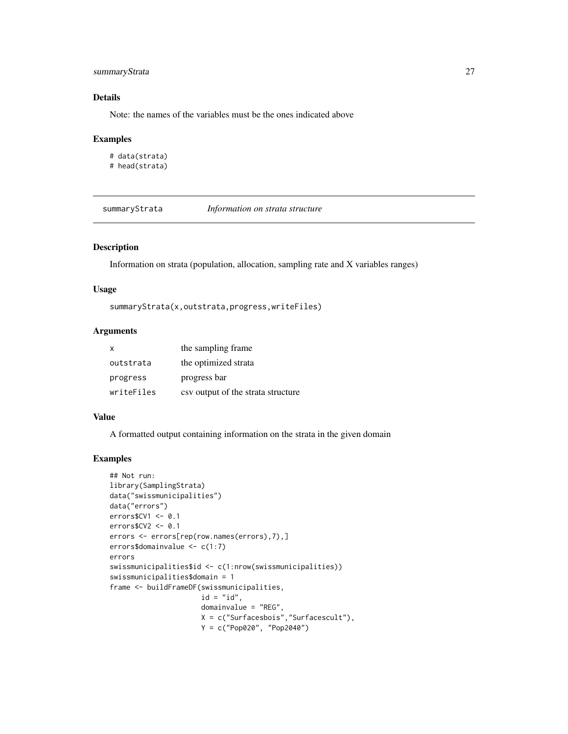#### <span id="page-26-0"></span>summaryStrata 27

#### Details

Note: the names of the variables must be the ones indicated above

#### Examples

```
# data(strata)
# head(strata)
```
summaryStrata *Information on strata structure*

#### Description

Information on strata (population, allocation, sampling rate and X variables ranges)

#### Usage

```
summaryStrata(x,outstrata,progress,writeFiles)
```
#### Arguments

| $\mathsf{x}$ | the sampling frame.                |
|--------------|------------------------------------|
| outstrata    | the optimized strata               |
| progress     | progress bar                       |
| writeFiles   | csy output of the strata structure |

#### Value

A formatted output containing information on the strata in the given domain

```
## Not run:
library(SamplingStrata)
data("swissmunicipalities")
data("errors")
errors$CV1 <- 0.1
errors$CV2 <- 0.1
errors <- errors[rep(row.names(errors),7),]
errors$domainvalue <- c(1:7)
errors
swissmunicipalities$id <- c(1:nrow(swissmunicipalities))
swissmunicipalities$domain = 1
frame <- buildFrameDF(swissmunicipalities,
                      id = "id",domainvalue = "REG",
                      X = c("Surfacesbois","Surfacescult"),
                      Y = c("Pop020", "Pop2040")
```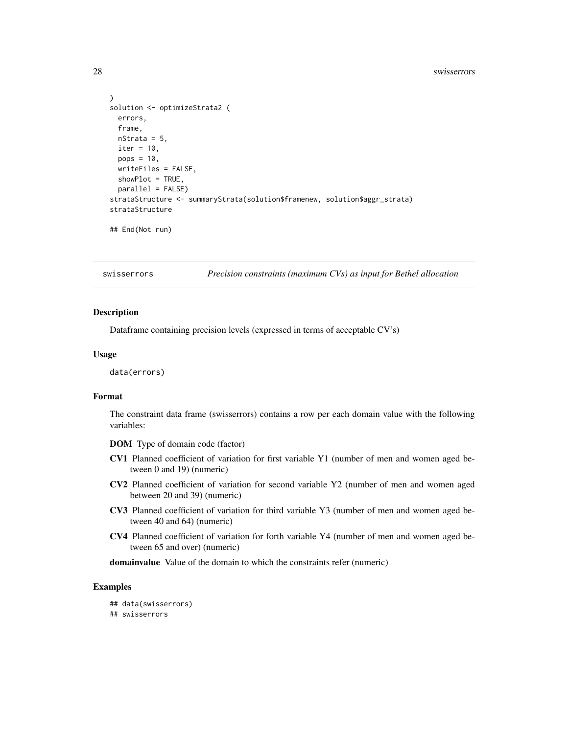```
)
solution <- optimizeStrata2 (
 errors,
 frame,
 nStrata = 5,
 iter = 10,
 pops = 10,
 writeFiles = FALSE,
 showPlot = TRUE,
 parallel = FALSE)
strataStructure <- summaryStrata(solution$framenew, solution$aggr_strata)
strataStructure
## End(Not run)
```
swisserrors *Precision constraints (maximum CVs) as input for Bethel allocation*

#### **Description**

Dataframe containing precision levels (expressed in terms of acceptable CV's)

#### Usage

data(errors)

#### Format

The constraint data frame (swisserrors) contains a row per each domain value with the following variables:

DOM Type of domain code (factor)

- CV1 Planned coefficient of variation for first variable Y1 (number of men and women aged between 0 and 19) (numeric)
- CV2 Planned coefficient of variation for second variable Y2 (number of men and women aged between 20 and 39) (numeric)
- CV3 Planned coefficient of variation for third variable Y3 (number of men and women aged between 40 and 64) (numeric)
- CV4 Planned coefficient of variation for forth variable Y4 (number of men and women aged between 65 and over) (numeric)

domainvalue Value of the domain to which the constraints refer (numeric)

#### Examples

## data(swisserrors) ## swisserrors

<span id="page-27-0"></span>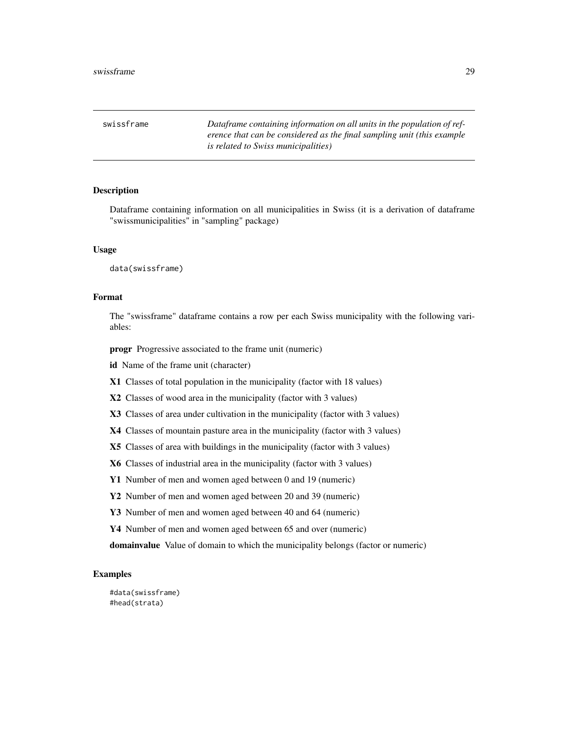<span id="page-28-0"></span>swissframe *Dataframe containing information on all units in the population of reference that can be considered as the final sampling unit (this example is related to Swiss municipalities)*

#### Description

Dataframe containing information on all municipalities in Swiss (it is a derivation of dataframe "swissmunicipalities" in "sampling" package)

#### Usage

data(swissframe)

#### Format

The "swissframe" dataframe contains a row per each Swiss municipality with the following variables:

progr Progressive associated to the frame unit (numeric)

id Name of the frame unit (character)

X1 Classes of total population in the municipality (factor with 18 values)

X2 Classes of wood area in the municipality (factor with 3 values)

X3 Classes of area under cultivation in the municipality (factor with 3 values)

X4 Classes of mountain pasture area in the municipality (factor with 3 values)

X5 Classes of area with buildings in the municipality (factor with 3 values)

X6 Classes of industrial area in the municipality (factor with 3 values)

Y1 Number of men and women aged between 0 and 19 (numeric)

Y2 Number of men and women aged between 20 and 39 (numeric)

Y3 Number of men and women aged between 40 and 64 (numeric)

Y4 Number of men and women aged between 65 and over (numeric)

domainvalue Value of domain to which the municipality belongs (factor or numeric)

#### Examples

#data(swissframe) #head(strata)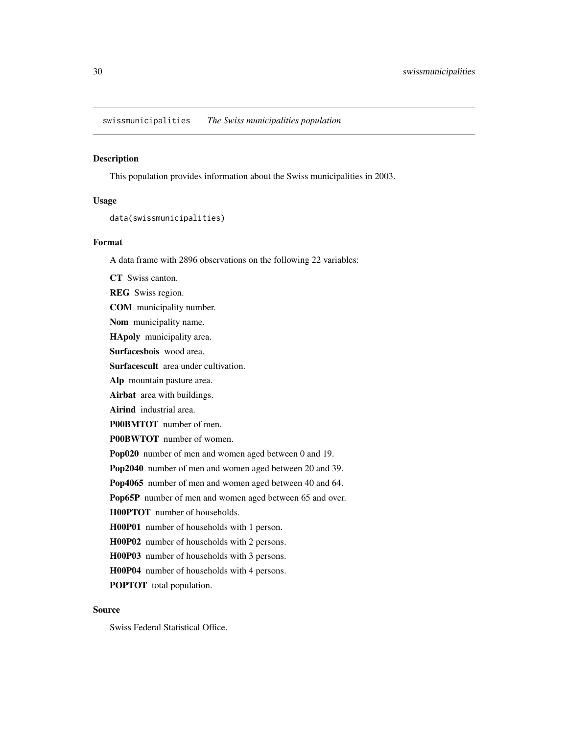<span id="page-29-0"></span>swissmunicipalities *The Swiss municipalities population*

#### Description

This population provides information about the Swiss municipalities in 2003.

#### Usage

```
data(swissmunicipalities)
```
#### Format

A data frame with 2896 observations on the following 22 variables:

CT Swiss canton. REG Swiss region. COM municipality number. Nom municipality name. HApoly municipality area. Surfacesbois wood area. Surfacescult area under cultivation. Alp mountain pasture area. Airbat area with buildings. Airind industrial area. P00BMTOT number of men. P00BWTOT number of women. Pop020 number of men and women aged between 0 and 19. Pop2040 number of men and women aged between 20 and 39. Pop4065 number of men and women aged between 40 and 64. Pop65P number of men and women aged between 65 and over. H00PTOT number of households. H00P01 number of households with 1 person. H00P02 number of households with 2 persons. H00P03 number of households with 3 persons. H00P04 number of households with 4 persons. POPTOT total population.

#### Source

Swiss Federal Statistical Office.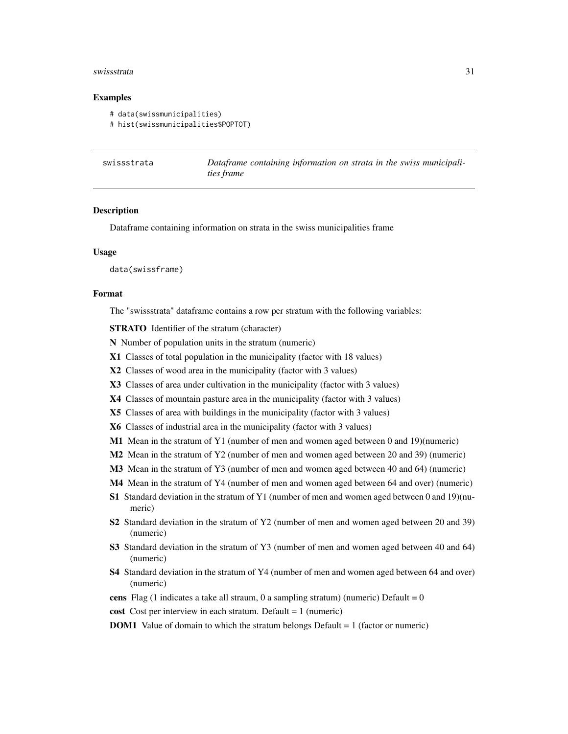#### <span id="page-30-0"></span>swissstrata 31

#### Examples

```
# data(swissmunicipalities)
```

```
# hist(swissmunicipalities$POPTOT)
```

| swissstrata | Dataframe containing information on strata in the swiss municipali- |
|-------------|---------------------------------------------------------------------|
|             | <i>ties frame</i>                                                   |

#### **Description**

Dataframe containing information on strata in the swiss municipalities frame

#### Usage

data(swissframe)

#### Format

The "swissstrata" dataframe contains a row per stratum with the following variables:

STRATO Identifier of the stratum (character)

- N Number of population units in the stratum (numeric)
- X1 Classes of total population in the municipality (factor with 18 values)
- X2 Classes of wood area in the municipality (factor with 3 values)
- X3 Classes of area under cultivation in the municipality (factor with 3 values)
- X4 Classes of mountain pasture area in the municipality (factor with 3 values)
- X5 Classes of area with buildings in the municipality (factor with 3 values)
- X6 Classes of industrial area in the municipality (factor with 3 values)
- M1 Mean in the stratum of Y1 (number of men and women aged between 0 and 19)(numeric)
- M2 Mean in the stratum of Y2 (number of men and women aged between 20 and 39) (numeric)
- M3 Mean in the stratum of Y3 (number of men and women aged between 40 and 64) (numeric)
- M4 Mean in the stratum of Y4 (number of men and women aged between 64 and over) (numeric)
- S1 Standard deviation in the stratum of Y1 (number of men and women aged between 0 and 19)(numeric)
- S2 Standard deviation in the stratum of Y2 (number of men and women aged between 20 and 39) (numeric)
- S3 Standard deviation in the stratum of Y3 (number of men and women aged between 40 and 64) (numeric)
- S4 Standard deviation in the stratum of Y4 (number of men and women aged between 64 and over) (numeric)
- cens Flag (1 indicates a take all straum, 0 a sampling stratum) (numeric) Default =  $0$
- cost Cost per interview in each stratum. Default = 1 (numeric)
- DOM1 Value of domain to which the stratum belongs Default = 1 (factor or numeric)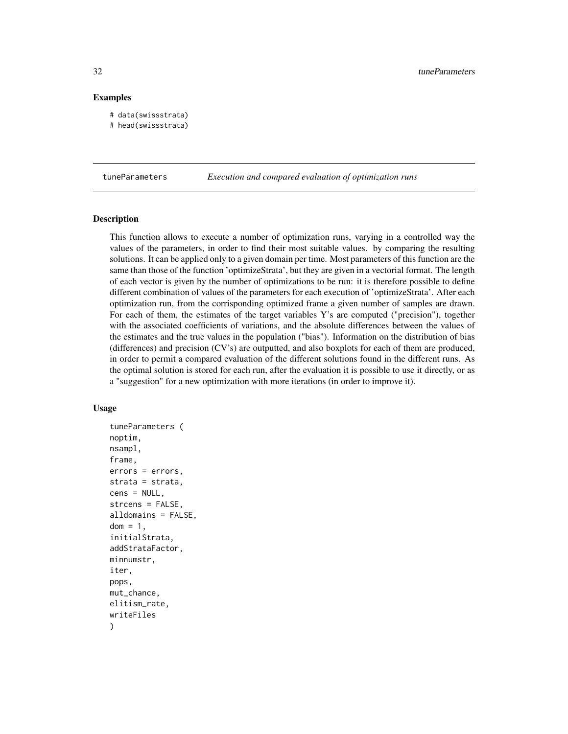#### Examples

```
# data(swissstrata)
# head(swissstrata)
```
tuneParameters *Execution and compared evaluation of optimization runs*

#### Description

This function allows to execute a number of optimization runs, varying in a controlled way the values of the parameters, in order to find their most suitable values. by comparing the resulting solutions. It can be applied only to a given domain per time. Most parameters of this function are the same than those of the function 'optimizeStrata', but they are given in a vectorial format. The length of each vector is given by the number of optimizations to be run: it is therefore possible to define different combination of values of the parameters for each execution of 'optimizeStrata'. After each optimization run, from the corrisponding optimized frame a given number of samples are drawn. For each of them, the estimates of the target variables Y's are computed ("precision"), together with the associated coefficients of variations, and the absolute differences between the values of the estimates and the true values in the population ("bias"). Information on the distribution of bias (differences) and precision (CV's) are outputted, and also boxplots for each of them are produced, in order to permit a compared evaluation of the different solutions found in the different runs. As the optimal solution is stored for each run, after the evaluation it is possible to use it directly, or as a "suggestion" for a new optimization with more iterations (in order to improve it).

#### Usage

```
tuneParameters (
noptim,
nsampl,
frame,
errors = errors,
strata = strata,
cens = NULL,
strcens = FALSE,
alldomains = FALSE,
dom = 1,
initialStrata,
addStrataFactor,
minnumstr,
iter,
pops,
mut_chance,
elitism_rate,
writeFiles
)
```
<span id="page-31-0"></span>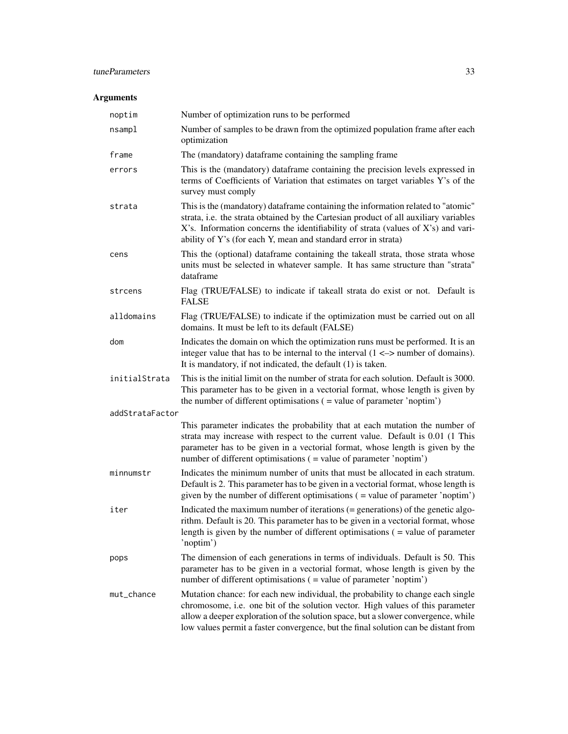#### tuneParameters 33

#### Arguments

| noptim          | Number of optimization runs to be performed                                                                                                                                                                                                                                                                                                  |
|-----------------|----------------------------------------------------------------------------------------------------------------------------------------------------------------------------------------------------------------------------------------------------------------------------------------------------------------------------------------------|
| nsampl          | Number of samples to be drawn from the optimized population frame after each<br>optimization                                                                                                                                                                                                                                                 |
| frame           | The (mandatory) dataframe containing the sampling frame                                                                                                                                                                                                                                                                                      |
| errors          | This is the (mandatory) dataframe containing the precision levels expressed in<br>terms of Coefficients of Variation that estimates on target variables Y's of the<br>survey must comply                                                                                                                                                     |
| strata          | This is the (mandatory) dataframe containing the information related to "atomic"<br>strata, i.e. the strata obtained by the Cartesian product of all auxiliary variables<br>X's. Information concerns the identifiability of strata (values of X's) and vari-<br>ability of Y's (for each Y, mean and standard error in strata)              |
| cens            | This the (optional) dataframe containing the takeall strata, those strata whose<br>units must be selected in whatever sample. It has same structure than "strata"<br>dataframe                                                                                                                                                               |
| strcens         | Flag (TRUE/FALSE) to indicate if takeall strata do exist or not. Default is<br>FALSE                                                                                                                                                                                                                                                         |
| alldomains      | Flag (TRUE/FALSE) to indicate if the optimization must be carried out on all<br>domains. It must be left to its default (FALSE)                                                                                                                                                                                                              |
| dom             | Indicates the domain on which the optimization runs must be performed. It is an<br>integer value that has to be internal to the interval $(1 \le -\ge)$ number of domains).<br>It is mandatory, if not indicated, the default $(1)$ is taken.                                                                                                |
| initialStrata   | This is the initial limit on the number of strata for each solution. Default is 3000.<br>This parameter has to be given in a vectorial format, whose length is given by<br>the number of different optimisations $($ = value of parameter 'noptim' $)$                                                                                       |
| addStrataFactor |                                                                                                                                                                                                                                                                                                                                              |
|                 | This parameter indicates the probability that at each mutation the number of<br>strata may increase with respect to the current value. Default is 0.01 (1 This<br>parameter has to be given in a vectorial format, whose length is given by the<br>number of different optimisations ( = value of parameter 'noptim')                        |
| minnumstr       | Indicates the minimum number of units that must be allocated in each stratum.<br>Default is 2. This parameter has to be given in a vectorial format, whose length is<br>given by the number of different optimisations $($ = value of parameter 'noptim' $)$                                                                                 |
| iter            | Indicated the maximum number of iterations (= generations) of the genetic algo-<br>rithm. Default is 20. This parameter has to be given in a vectorial format, whose<br>length is given by the number of different optimisations $($ = value of parameter<br>'noptim')                                                                       |
| pops            | The dimension of each generations in terms of individuals. Default is 50. This<br>parameter has to be given in a vectorial format, whose length is given by the<br>number of different optimisations ( = value of parameter 'noptim')                                                                                                        |
| mut_chance      | Mutation chance: for each new individual, the probability to change each single<br>chromosome, i.e. one bit of the solution vector. High values of this parameter<br>allow a deeper exploration of the solution space, but a slower convergence, while<br>low values permit a faster convergence, but the final solution can be distant from |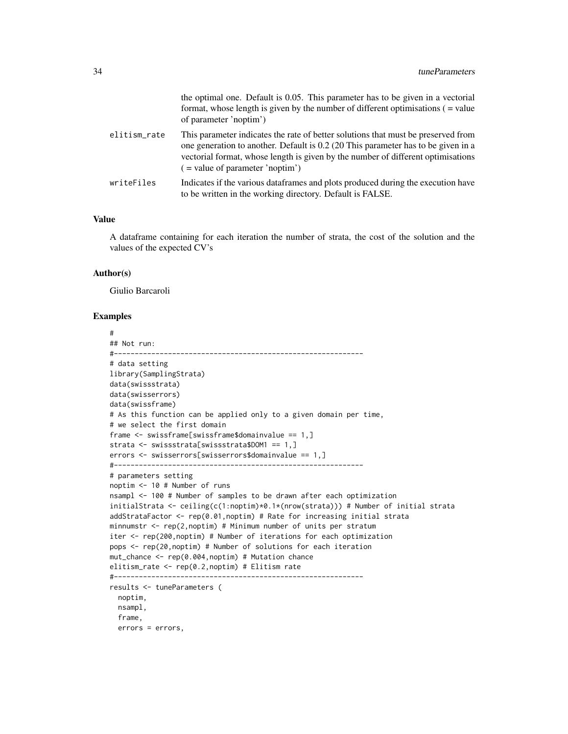|              | the optimal one. Default is 0.05. This parameter has to be given in a vectorial<br>format, whose length is given by the number of different optimisations $($ = value<br>of parameter 'noptim')                                                                                                  |
|--------------|--------------------------------------------------------------------------------------------------------------------------------------------------------------------------------------------------------------------------------------------------------------------------------------------------|
| elitism_rate | This parameter indicates the rate of better solutions that must be preserved from<br>one generation to another. Default is 0.2 (20 This parameter has to be given in a<br>vectorial format, whose length is given by the number of different optimisations<br>$($ = value of parameter 'noptim') |
| writeFiles   | Indicates if the various data frames and plots produced during the execution have<br>to be written in the working directory. Default is FALSE.                                                                                                                                                   |

#### Value

A dataframe containing for each iteration the number of strata, the cost of the solution and the values of the expected CV's

#### Author(s)

Giulio Barcaroli

```
#
## Not run:
#------------------------------------------------------------
# data setting
library(SamplingStrata)
data(swissstrata)
data(swisserrors)
data(swissframe)
# As this function can be applied only to a given domain per time,
# we select the first domain
frame <- swissframe[swissframe$domainvalue == 1,]
strata <- swissstrata[swissstrata$DOM1 == 1,]
errors <- swisserrors[swisserrors$domainvalue == 1,]
#------------------------------------------------------------
# parameters setting
noptim <- 10 # Number of runs
nsampl <- 100 # Number of samples to be drawn after each optimization
initialStrata <- ceiling(c(1:noptim)*0.1*(nrow(strata))) # Number of initial strata
addStrataFactor <- rep(0.01,noptim) # Rate for increasing initial strata
minnumstr \leq rep(2, noptim) # Minimum number of units per stratum
iter <- rep(200,noptim) # Number of iterations for each optimization
pops <- rep(20,noptim) # Number of solutions for each iteration
mut_chance <- rep(0.004,noptim) # Mutation chance
elitism_rate <- rep(0.2,noptim) # Elitism rate
#------------------------------------------------------------
results <- tuneParameters (
 noptim,
 nsampl,
  frame,
  errors = errors,
```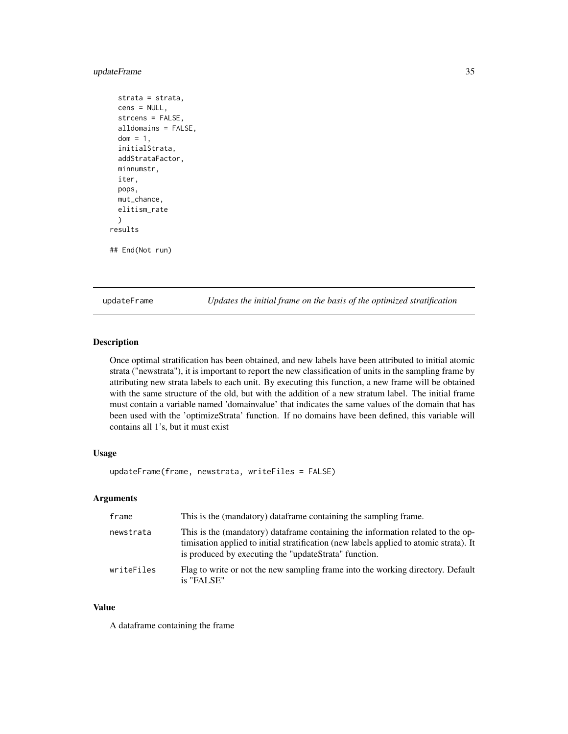#### <span id="page-34-0"></span>updateFrame 35

```
strata = strata,
 cens = NULL,
 strcens = FALSE,
 alldomains = FALSE,
 dom = 1,
 initialStrata,
 addStrataFactor,
 minnumstr,
 iter,
 pops,
 mut_chance,
 elitism_rate
 )
results
## End(Not run)
```
updateFrame *Updates the initial frame on the basis of the optimized stratification*

#### Description

Once optimal stratification has been obtained, and new labels have been attributed to initial atomic strata ("newstrata"), it is important to report the new classification of units in the sampling frame by attributing new strata labels to each unit. By executing this function, a new frame will be obtained with the same structure of the old, but with the addition of a new stratum label. The initial frame must contain a variable named 'domainvalue' that indicates the same values of the domain that has been used with the 'optimizeStrata' function. If no domains have been defined, this variable will contains all 1's, but it must exist

#### Usage

```
updateFrame(frame, newstrata, writeFiles = FALSE)
```
#### Arguments

| frame      | This is the (mandatory) dataframe containing the sampling frame.                                                                                                                                                                   |
|------------|------------------------------------------------------------------------------------------------------------------------------------------------------------------------------------------------------------------------------------|
| newstrata  | This is the (mandatory) dataframe containing the information related to the op-<br>timisation applied to initial stratification (new labels applied to atomic strata). It<br>is produced by executing the "updateStrata" function. |
| writeFiles | Flag to write or not the new sampling frame into the working directory. Default<br>is "FALSE"                                                                                                                                      |

#### Value

A dataframe containing the frame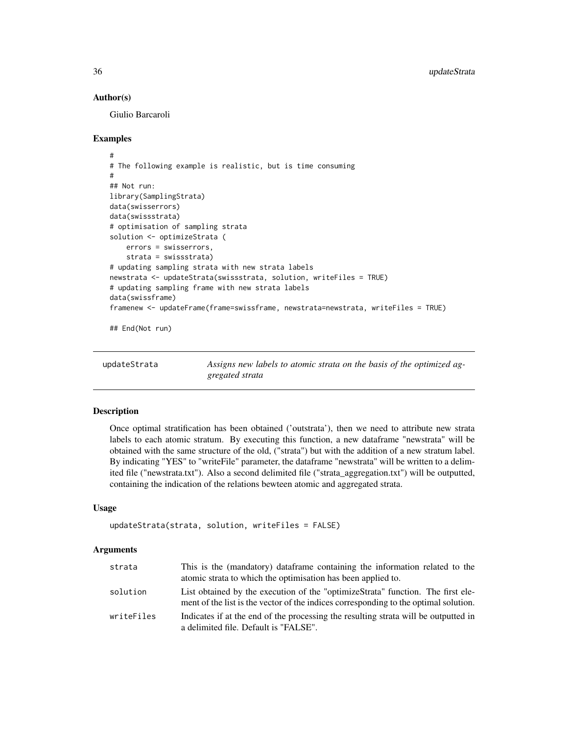#### Author(s)

Giulio Barcaroli

#### Examples

```
#
# The following example is realistic, but is time consuming
#
## Not run:
library(SamplingStrata)
data(swisserrors)
data(swissstrata)
# optimisation of sampling strata
solution <- optimizeStrata (
    errors = swisserrors,
    strata = swissstrata)
# updating sampling strata with new strata labels
newstrata <- updateStrata(swissstrata, solution, writeFiles = TRUE)
# updating sampling frame with new strata labels
data(swissframe)
framenew <- updateFrame(frame=swissframe, newstrata=newstrata, writeFiles = TRUE)
## End(Not run)
```
updateStrata *Assigns new labels to atomic strata on the basis of the optimized aggregated strata*

#### Description

Once optimal stratification has been obtained ('outstrata'), then we need to attribute new strata labels to each atomic stratum. By executing this function, a new dataframe "newstrata" will be obtained with the same structure of the old, ("strata") but with the addition of a new stratum label. By indicating "YES" to "writeFile" parameter, the dataframe "newstrata" will be written to a delimited file ("newstrata.txt"). Also a second delimited file ("strata\_aggregation.txt") will be outputted, containing the indication of the relations bewteen atomic and aggregated strata.

#### Usage

```
updateStrata(strata, solution, writeFiles = FALSE)
```
#### Arguments

| strata     | This is the (mandatory) data frame containing the information related to the<br>atomic strata to which the optimisation has been applied to.                            |
|------------|-------------------------------------------------------------------------------------------------------------------------------------------------------------------------|
| solution   | List obtained by the execution of the "optimizeStrata" function. The first ele-<br>ment of the list is the vector of the indices corresponding to the optimal solution. |
| writeFiles | Indicates if at the end of the processing the resulting strata will be outputted in<br>a delimited file. Default is "FALSE".                                            |

<span id="page-35-0"></span>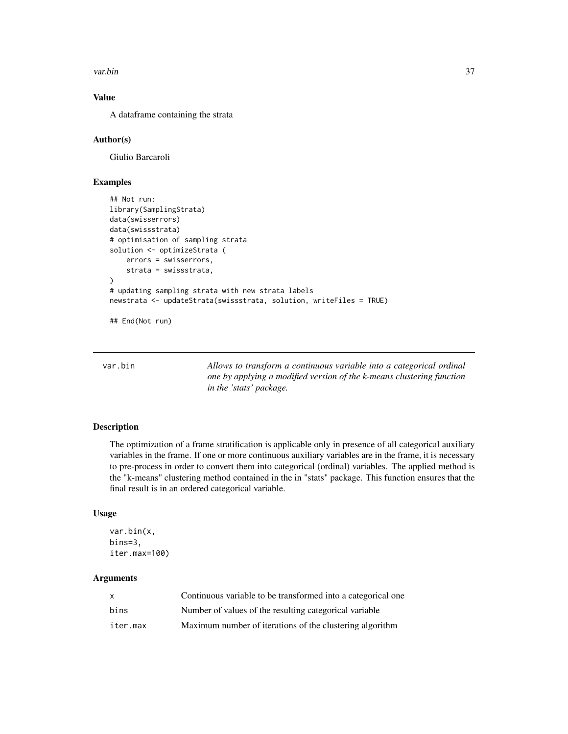<span id="page-36-0"></span>var.bin 37

#### Value

A dataframe containing the strata

#### Author(s)

Giulio Barcaroli

#### Examples

```
## Not run:
library(SamplingStrata)
data(swisserrors)
data(swissstrata)
# optimisation of sampling strata
solution <- optimizeStrata (
    errors = swisserrors,
    strata = swissstrata,
)
# updating sampling strata with new strata labels
newstrata <- updateStrata(swissstrata, solution, writeFiles = TRUE)
```
## End(Not run)

| var.bin |  |
|---------|--|
|         |  |
|         |  |

Allows to transform a continuous variable into a categorical ordinal *one by applying a modified version of the k-means clustering function in the 'stats' package.*

#### Description

The optimization of a frame stratification is applicable only in presence of all categorical auxiliary variables in the frame. If one or more continuous auxiliary variables are in the frame, it is necessary to pre-process in order to convert them into categorical (ordinal) variables. The applied method is the "k-means" clustering method contained in the in "stats" package. This function ensures that the final result is in an ordered categorical variable.

#### Usage

```
var.bin(x,
bins=3,
iter.max=100)
```
#### Arguments

| $\mathsf{x}$ | Continuous variable to be transformed into a categorical one |
|--------------|--------------------------------------------------------------|
| bins         | Number of values of the resulting categorical variable       |
| iter.max     | Maximum number of iterations of the clustering algorithm     |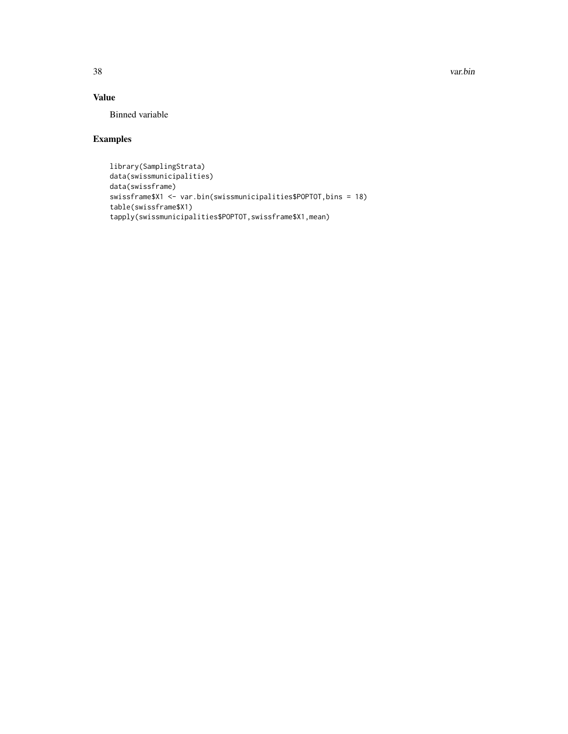38 var.bin

#### Value

Binned variable

```
library(SamplingStrata)
data(swissmunicipalities)
data(swissframe)
swissframe$X1 <- var.bin(swissmunicipalities$POPTOT,bins = 18)
table(swissframe$X1)
tapply(swissmunicipalities$POPTOT,swissframe$X1,mean)
```